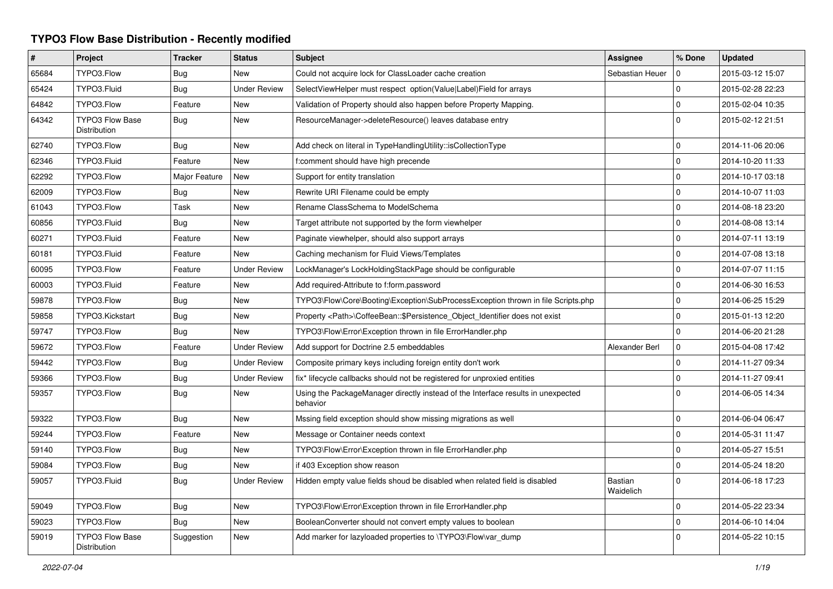## **TYPO3 Flow Base Distribution - Recently modified**

| $\pmb{\#}$ | Project                                | <b>Tracker</b> | <b>Status</b>       | <b>Subject</b>                                                                               | Assignee             | % Done              | <b>Updated</b>   |
|------------|----------------------------------------|----------------|---------------------|----------------------------------------------------------------------------------------------|----------------------|---------------------|------------------|
| 65684      | TYPO3.Flow                             | Bug            | New                 | Could not acquire lock for ClassLoader cache creation                                        | Sebastian Heuer      | 0                   | 2015-03-12 15:07 |
| 65424      | TYPO3.Fluid                            | Bug            | <b>Under Review</b> | SelectViewHelper must respect option(Value Label)Field for arrays                            |                      | $\mathbf 0$         | 2015-02-28 22:23 |
| 64842      | TYPO3.Flow                             | Feature        | New                 | Validation of Property should also happen before Property Mapping.                           |                      | $\mathbf 0$         | 2015-02-04 10:35 |
| 64342      | <b>TYPO3 Flow Base</b><br>Distribution | Bug            | New                 | ResourceManager->deleteResource() leaves database entry                                      |                      | $\Omega$            | 2015-02-12 21:51 |
| 62740      | TYPO3.Flow                             | <b>Bug</b>     | New                 | Add check on literal in TypeHandlingUtility::isCollectionType                                |                      | $\Omega$            | 2014-11-06 20:06 |
| 62346      | TYPO3.Fluid                            | Feature        | New                 | f:comment should have high precende                                                          |                      | $\mathbf 0$         | 2014-10-20 11:33 |
| 62292      | TYPO3.Flow                             | Major Feature  | New                 | Support for entity translation                                                               |                      | $\mathbf 0$         | 2014-10-17 03:18 |
| 62009      | TYPO3.Flow                             | Bug            | <b>New</b>          | Rewrite URI Filename could be empty                                                          |                      | $\mathbf 0$         | 2014-10-07 11:03 |
| 61043      | TYPO3.Flow                             | Task           | New                 | Rename ClassSchema to ModelSchema                                                            |                      | $\mathbf 0$         | 2014-08-18 23:20 |
| 60856      | TYPO3.Fluid                            | Bug            | New                 | Target attribute not supported by the form viewhelper                                        |                      | $\mathbf 0$         | 2014-08-08 13:14 |
| 60271      | TYPO3.Fluid                            | Feature        | New                 | Paginate viewhelper, should also support arrays                                              |                      | $\pmb{0}$           | 2014-07-11 13:19 |
| 60181      | TYPO3.Fluid                            | Feature        | New                 | Caching mechanism for Fluid Views/Templates                                                  |                      | $\mathbf 0$         | 2014-07-08 13:18 |
| 60095      | TYPO3.Flow                             | Feature        | <b>Under Review</b> | LockManager's LockHoldingStackPage should be configurable                                    |                      | $\mathbf 0$         | 2014-07-07 11:15 |
| 60003      | TYPO3.Fluid                            | Feature        | <b>New</b>          | Add required-Attribute to f:form.password                                                    |                      | $\mathbf 0$         | 2014-06-30 16:53 |
| 59878      | TYPO3.Flow                             | Bug            | New                 | TYPO3\Flow\Core\Booting\Exception\SubProcessException thrown in file Scripts.php             |                      | $\mathbf 0$         | 2014-06-25 15:29 |
| 59858      | TYPO3.Kickstart                        | Bug            | New                 | Property <path>\CoffeeBean::\$Persistence Object Identifier does not exist</path>            |                      | $\mathbf 0$         | 2015-01-13 12:20 |
| 59747      | TYPO3.Flow                             | Bug            | <b>New</b>          | TYPO3\Flow\Error\Exception thrown in file ErrorHandler.php                                   |                      | $\mathbf 0$         | 2014-06-20 21:28 |
| 59672      | TYPO3.Flow                             | Feature        | Under Review        | Add support for Doctrine 2.5 embeddables                                                     | Alexander Berl       | $\mathbf 0$         | 2015-04-08 17:42 |
| 59442      | TYPO3.Flow                             | Bug            | <b>Under Review</b> | Composite primary keys including foreign entity don't work                                   |                      | $\mathbf 0$         | 2014-11-27 09:34 |
| 59366      | TYPO3.Flow                             | <b>Bug</b>     | <b>Under Review</b> | fix* lifecycle callbacks should not be registered for unproxied entities                     |                      | $\mathbf 0$         | 2014-11-27 09:41 |
| 59357      | TYPO3.Flow                             | <b>Bug</b>     | <b>New</b>          | Using the PackageManager directly instead of the Interface results in unexpected<br>behavior |                      | $\Omega$            | 2014-06-05 14:34 |
| 59322      | TYPO3.Flow                             | <b>Bug</b>     | <b>New</b>          | Mssing field exception should show missing migrations as well                                |                      | $\mathbf 0$         | 2014-06-04 06:47 |
| 59244      | TYPO3.Flow                             | Feature        | New                 | Message or Container needs context                                                           |                      | $\mathbf 0$         | 2014-05-31 11:47 |
| 59140      | TYPO3.Flow                             | Bug            | New                 | TYPO3\Flow\Error\Exception thrown in file ErrorHandler.php                                   |                      | $\mathbf 0$         | 2014-05-27 15:51 |
| 59084      | TYPO3.Flow                             | <b>Bug</b>     | New                 | if 403 Exception show reason                                                                 |                      | $\mathbf 0$         | 2014-05-24 18:20 |
| 59057      | TYPO3.Fluid                            | Bug            | Under Review        | Hidden empty value fields shoud be disabled when related field is disabled                   | Bastian<br>Waidelich | $\mathbf 0$         | 2014-06-18 17:23 |
| 59049      | TYPO3.Flow                             | <b>Bug</b>     | New                 | TYPO3\Flow\Error\Exception thrown in file ErrorHandler.php                                   |                      | $\mathbf 0$         | 2014-05-22 23:34 |
| 59023      | TYPO3.Flow                             | <b>Bug</b>     | New                 | BooleanConverter should not convert empty values to boolean                                  |                      | $\mathsf{O}\xspace$ | 2014-06-10 14:04 |
| 59019      | TYPO3 Flow Base<br>Distribution        | Suggestion     | New                 | Add marker for lazyloaded properties to \TYPO3\Flow\var_dump                                 |                      | $\Omega$            | 2014-05-22 10:15 |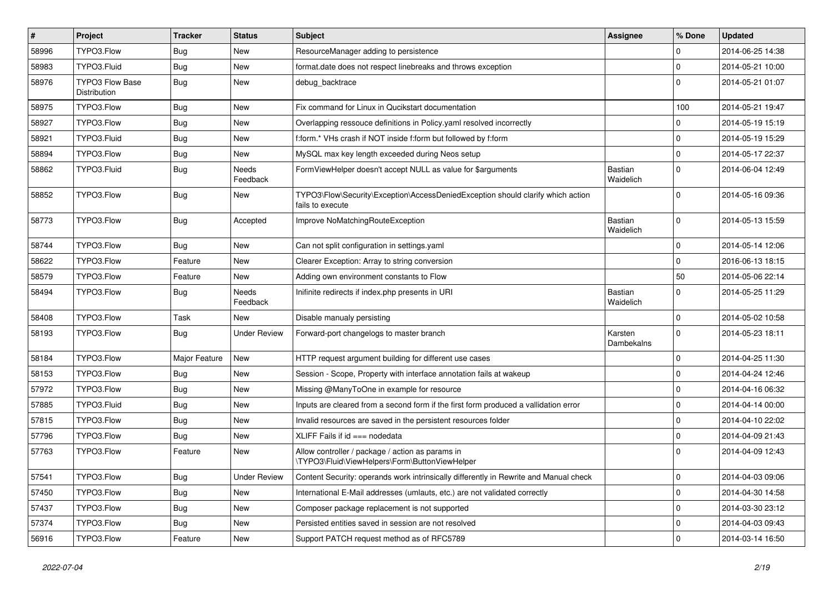| $\vert$ # | Project                                | <b>Tracker</b> | <b>Status</b>       | <b>Subject</b>                                                                                      | Assignee              | % Done         | <b>Updated</b>   |
|-----------|----------------------------------------|----------------|---------------------|-----------------------------------------------------------------------------------------------------|-----------------------|----------------|------------------|
| 58996     | TYPO3.Flow                             | <b>Bug</b>     | New                 | ResourceManager adding to persistence                                                               |                       | $\Omega$       | 2014-06-25 14:38 |
| 58983     | TYPO3.Fluid                            | <b>Bug</b>     | New                 | format.date does not respect linebreaks and throws exception                                        |                       | $\mathbf 0$    | 2014-05-21 10:00 |
| 58976     | <b>TYPO3 Flow Base</b><br>Distribution | <b>Bug</b>     | New                 | debug_backtrace                                                                                     |                       | $\Omega$       | 2014-05-21 01:07 |
| 58975     | TYPO3.Flow                             | <b>Bug</b>     | New                 | Fix command for Linux in Qucikstart documentation                                                   |                       | 100            | 2014-05-21 19:47 |
| 58927     | TYPO3.Flow                             | <b>Bug</b>     | New                 | Overlapping ressouce definitions in Policy yaml resolved incorrectly                                |                       | 0              | 2014-05-19 15:19 |
| 58921     | TYPO3.Fluid                            | Bug            | New                 | f:form.* VHs crash if NOT inside f:form but followed by f:form                                      |                       | $\mathbf 0$    | 2014-05-19 15:29 |
| 58894     | TYPO3.Flow                             | <b>Bug</b>     | New                 | MySQL max key length exceeded during Neos setup                                                     |                       | $\mathbf 0$    | 2014-05-17 22:37 |
| 58862     | TYPO3.Fluid                            | <b>Bug</b>     | Needs<br>Feedback   | FormViewHelper doesn't accept NULL as value for \$arguments                                         | Bastian<br>Waidelich  | $\Omega$       | 2014-06-04 12:49 |
| 58852     | TYPO3.Flow                             | <b>Bug</b>     | New                 | TYPO3\Flow\Security\Exception\AccessDeniedException should clarify which action<br>fails to execute |                       | $\Omega$       | 2014-05-16 09:36 |
| 58773     | TYPO3.Flow                             | <b>Bug</b>     | Accepted            | Improve NoMatchingRouteException                                                                    | Bastian<br>Waidelich  | $\mathbf{0}$   | 2014-05-13 15:59 |
| 58744     | TYPO3.Flow                             | <b>Bug</b>     | New                 | Can not split configuration in settings.yaml                                                        |                       | $\mathbf 0$    | 2014-05-14 12:06 |
| 58622     | TYPO3.Flow                             | Feature        | New                 | Clearer Exception: Array to string conversion                                                       |                       | $\mathbf 0$    | 2016-06-13 18:15 |
| 58579     | TYPO3.Flow                             | Feature        | New                 | Adding own environment constants to Flow                                                            |                       | 50             | 2014-05-06 22:14 |
| 58494     | TYPO3.Flow                             | <b>Bug</b>     | Needs<br>Feedback   | Inifinite redirects if index.php presents in URI                                                    | Bastian<br>Waidelich  | $\mathbf 0$    | 2014-05-25 11:29 |
| 58408     | TYPO3.Flow                             | <b>Task</b>    | New                 | Disable manualy persisting                                                                          |                       | $\Omega$       | 2014-05-02 10:58 |
| 58193     | TYPO3.Flow                             | Bug            | <b>Under Review</b> | Forward-port changelogs to master branch                                                            | Karsten<br>Dambekalns | $\Omega$       | 2014-05-23 18:11 |
| 58184     | TYPO3.Flow                             | Major Feature  | New                 | HTTP request argument building for different use cases                                              |                       | $\mathbf 0$    | 2014-04-25 11:30 |
| 58153     | TYPO3.Flow                             | Bug            | New                 | Session - Scope, Property with interface annotation fails at wakeup                                 |                       | $\mathbf 0$    | 2014-04-24 12:46 |
| 57972     | TYPO3.Flow                             | <b>Bug</b>     | New                 | Missing @ManyToOne in example for resource                                                          |                       | $\Omega$       | 2014-04-16 06:32 |
| 57885     | TYPO3.Fluid                            | <b>Bug</b>     | New                 | Inputs are cleared from a second form if the first form produced a vallidation error                |                       | $\mathbf 0$    | 2014-04-14 00:00 |
| 57815     | TYPO3.Flow                             | <b>Bug</b>     | New                 | Invalid resources are saved in the persistent resources folder                                      |                       | $\mathbf 0$    | 2014-04-10 22:02 |
| 57796     | TYPO3.Flow                             | <b>Bug</b>     | New                 | XLIFF Fails if id === nodedata                                                                      |                       | $\mathbf 0$    | 2014-04-09 21:43 |
| 57763     | TYPO3.Flow                             | Feature        | New                 | Allow controller / package / action as params in<br>\TYPO3\Fluid\ViewHelpers\Form\ButtonViewHelper  |                       | $\Omega$       | 2014-04-09 12:43 |
| 57541     | TYPO3.Flow                             | <b>Bug</b>     | <b>Under Review</b> | Content Security: operands work intrinsically differently in Rewrite and Manual check               |                       | $\overline{0}$ | 2014-04-03 09:06 |
| 57450     | TYPO3.Flow                             | <b>Bug</b>     | New                 | International E-Mail addresses (umlauts, etc.) are not validated correctly                          |                       | 0              | 2014-04-30 14:58 |
| 57437     | TYPO3.Flow                             | <b>Bug</b>     | New                 | Composer package replacement is not supported                                                       |                       | $\mathbf 0$    | 2014-03-30 23:12 |
| 57374     | TYPO3.Flow                             | <b>Bug</b>     | New                 | Persisted entities saved in session are not resolved                                                |                       | $\mathbf 0$    | 2014-04-03 09:43 |
| 56916     | TYPO3.Flow                             | Feature        | New                 | Support PATCH request method as of RFC5789                                                          |                       | 0              | 2014-03-14 16:50 |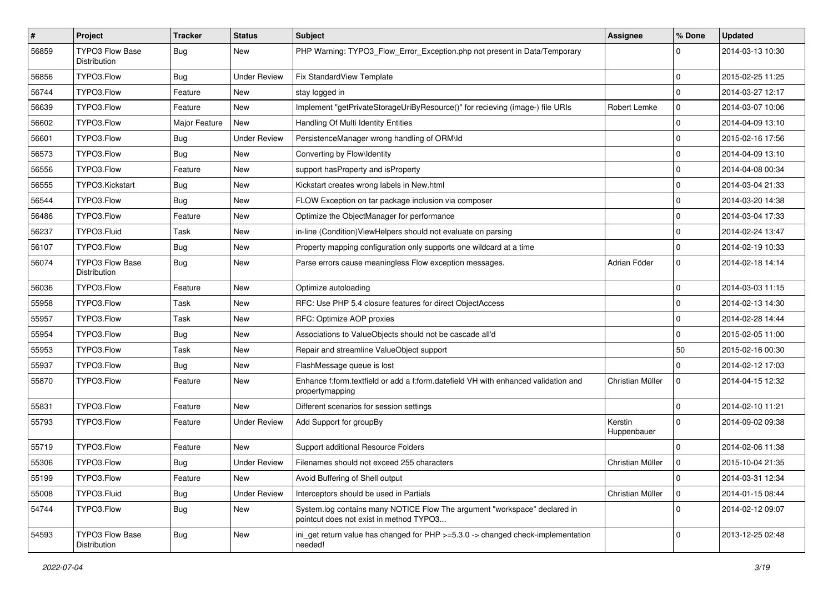| $\vert$ # | <b>Project</b>                         | <b>Tracker</b> | <b>Status</b>       | Subject                                                                                                              | Assignee               | % Done         | <b>Updated</b>   |
|-----------|----------------------------------------|----------------|---------------------|----------------------------------------------------------------------------------------------------------------------|------------------------|----------------|------------------|
| 56859     | TYPO3 Flow Base<br>Distribution        | Bug            | New                 | PHP Warning: TYPO3 Flow Error Exception.php not present in Data/Temporary                                            |                        | $\Omega$       | 2014-03-13 10:30 |
| 56856     | TYPO3.Flow                             | Bug            | Under Review        | Fix StandardView Template                                                                                            |                        | $\mathbf 0$    | 2015-02-25 11:25 |
| 56744     | TYPO3.Flow                             | Feature        | New                 | stay logged in                                                                                                       |                        | $\mathbf 0$    | 2014-03-27 12:17 |
| 56639     | TYPO3.Flow                             | Feature        | <b>New</b>          | Implement "getPrivateStorageUriByResource()" for recieving (image-) file URIs                                        | Robert Lemke           | 0              | 2014-03-07 10:06 |
| 56602     | TYPO3.Flow                             | Major Feature  | New                 | Handling Of Multi Identity Entities                                                                                  |                        | $\mathbf 0$    | 2014-04-09 13:10 |
| 56601     | TYPO3.Flow                             | <b>Bug</b>     | <b>Under Review</b> | PersistenceManager wrong handling of ORM\ld                                                                          |                        | $\mathbf 0$    | 2015-02-16 17:56 |
| 56573     | TYPO3.Flow                             | Bug            | New                 | Converting by Flow\Identity                                                                                          |                        | $\mathbf 0$    | 2014-04-09 13:10 |
| 56556     | TYPO3.Flow                             | Feature        | New                 | support hasProperty and isProperty                                                                                   |                        | $\mathbf 0$    | 2014-04-08 00:34 |
| 56555     | TYPO3.Kickstart                        | <b>Bug</b>     | New                 | Kickstart creates wrong labels in New.html                                                                           |                        | $\mathbf 0$    | 2014-03-04 21:33 |
| 56544     | TYPO3.Flow                             | Bug            | New                 | FLOW Exception on tar package inclusion via composer                                                                 |                        | $\mathbf 0$    | 2014-03-20 14:38 |
| 56486     | TYPO3.Flow                             | Feature        | New                 | Optimize the ObjectManager for performance                                                                           |                        | $\mathbf 0$    | 2014-03-04 17:33 |
| 56237     | TYPO3.Fluid                            | Task           | New                 | in-line (Condition) ViewHelpers should not evaluate on parsing                                                       |                        | $\mathbf 0$    | 2014-02-24 13:47 |
| 56107     | TYPO3.Flow                             | Bug            | New                 | Property mapping configuration only supports one wildcard at a time                                                  |                        | $\mathbf 0$    | 2014-02-19 10:33 |
| 56074     | TYPO3 Flow Base<br>Distribution        | <b>Bug</b>     | New                 | Parse errors cause meaningless Flow exception messages.                                                              | Adrian Föder           | $\mathbf 0$    | 2014-02-18 14:14 |
| 56036     | TYPO3.Flow                             | Feature        | New                 | Optimize autoloading                                                                                                 |                        | $\mathbf 0$    | 2014-03-03 11:15 |
| 55958     | TYPO3.Flow                             | Task           | New                 | RFC: Use PHP 5.4 closure features for direct ObjectAccess                                                            |                        | $\mathbf 0$    | 2014-02-13 14:30 |
| 55957     | TYPO3.Flow                             | Task           | New                 | RFC: Optimize AOP proxies                                                                                            |                        | $\mathbf 0$    | 2014-02-28 14:44 |
| 55954     | TYPO3.Flow                             | Bug            | New                 | Associations to ValueObjects should not be cascade all'd                                                             |                        | $\mathbf 0$    | 2015-02-05 11:00 |
| 55953     | TYPO3.Flow                             | Task           | New                 | Repair and streamline ValueObject support                                                                            |                        | 50             | 2015-02-16 00:30 |
| 55937     | TYPO3.Flow                             | <b>Bug</b>     | New                 | FlashMessage queue is lost                                                                                           |                        | $\Omega$       | 2014-02-12 17:03 |
| 55870     | TYPO3.Flow                             | Feature        | New                 | Enhance f:form.textfield or add a f:form.datefield VH with enhanced validation and<br>propertymapping                | Christian Müller       | $\mathbf 0$    | 2014-04-15 12:32 |
| 55831     | TYPO3.Flow                             | Feature        | New                 | Different scenarios for session settings                                                                             |                        | $\mathbf 0$    | 2014-02-10 11:21 |
| 55793     | TYPO3.Flow                             | Feature        | Under Review        | Add Support for groupBy                                                                                              | Kerstin<br>Huppenbauer | $\Omega$       | 2014-09-02 09:38 |
| 55719     | TYPO3.Flow                             | Feature        | New                 | Support additional Resource Folders                                                                                  |                        | $\Omega$       | 2014-02-06 11:38 |
| 55306     | TYPO3.Flow                             | <b>Bug</b>     | <b>Under Review</b> | Filenames should not exceed 255 characters                                                                           | Christian Müller       | 0              | 2015-10-04 21:35 |
| 55199     | TYPO3.Flow                             | Feature        | New                 | Avoid Buffering of Shell output                                                                                      |                        | $\overline{0}$ | 2014-03-31 12:34 |
| 55008     | TYPO3.Fluid                            | Bug            | <b>Under Review</b> | Interceptors should be used in Partials                                                                              | Christian Müller       | $\overline{0}$ | 2014-01-15 08:44 |
| 54744     | TYPO3.Flow                             | <b>Bug</b>     | New                 | System.log contains many NOTICE Flow The argument "workspace" declared in<br>pointcut does not exist in method TYPO3 |                        | 0              | 2014-02-12 09:07 |
| 54593     | <b>TYPO3 Flow Base</b><br>Distribution | <b>Bug</b>     | New                 | ini_get return value has changed for PHP >=5.3.0 -> changed check-implementation<br>needed!                          |                        | 0              | 2013-12-25 02:48 |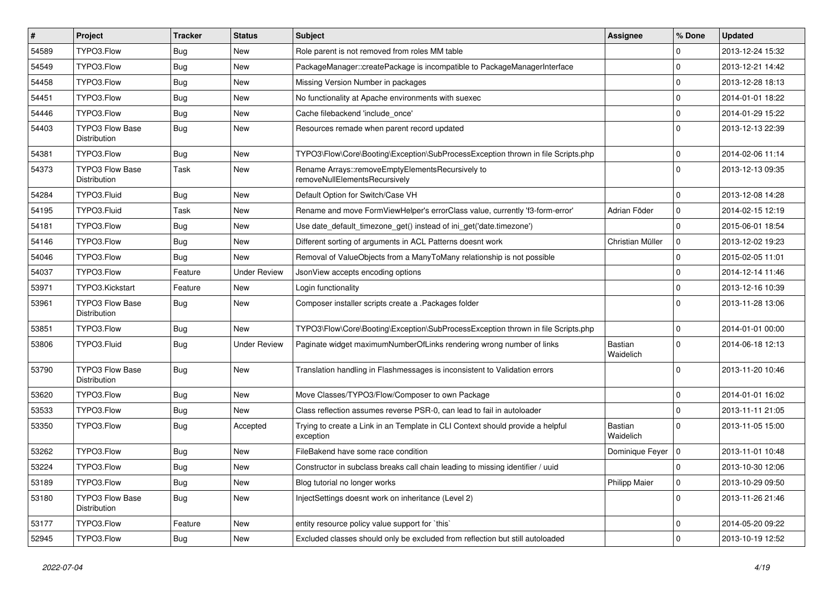| #     | Project                                | <b>Tracker</b> | <b>Status</b>       | Subject                                                                                     | Assignee             | % Done      | <b>Updated</b>   |
|-------|----------------------------------------|----------------|---------------------|---------------------------------------------------------------------------------------------|----------------------|-------------|------------------|
| 54589 | TYPO3.Flow                             | <b>Bug</b>     | New                 | Role parent is not removed from roles MM table                                              |                      | $\Omega$    | 2013-12-24 15:32 |
| 54549 | TYPO3.Flow                             | Bug            | New                 | PackageManager::createPackage is incompatible to PackageManagerInterface                    |                      | $\mathbf 0$ | 2013-12-21 14:42 |
| 54458 | TYPO3.Flow                             | <b>Bug</b>     | New                 | Missing Version Number in packages                                                          |                      | $\mathbf 0$ | 2013-12-28 18:13 |
| 54451 | TYPO3.Flow                             | <b>Bug</b>     | New                 | No functionality at Apache environments with suexec                                         |                      | $\mathbf 0$ | 2014-01-01 18:22 |
| 54446 | TYPO3.Flow                             | <b>Bug</b>     | New                 | Cache filebackend 'include_once'                                                            |                      | $\mathbf 0$ | 2014-01-29 15:22 |
| 54403 | <b>TYPO3 Flow Base</b><br>Distribution | <b>Bug</b>     | New                 | Resources remade when parent record updated                                                 |                      | $\Omega$    | 2013-12-13 22:39 |
| 54381 | TYPO3.Flow                             | <b>Bug</b>     | New                 | TYPO3\Flow\Core\Booting\Exception\SubProcessException thrown in file Scripts.php            |                      | $\mathbf 0$ | 2014-02-06 11:14 |
| 54373 | TYPO3 Flow Base<br>Distribution        | Task           | New                 | Rename Arrays::removeEmptyElementsRecursively to<br>removeNullElementsRecursively           |                      | $\Omega$    | 2013-12-13 09:35 |
| 54284 | TYPO3.Fluid                            | Bug            | New                 | Default Option for Switch/Case VH                                                           |                      | $\mathbf 0$ | 2013-12-08 14:28 |
| 54195 | TYPO3.Fluid                            | Task           | New                 | Rename and move FormViewHelper's errorClass value, currently 'f3-form-error'                | Adrian Föder         | $\mathbf 0$ | 2014-02-15 12:19 |
| 54181 | TYPO3.Flow                             | <b>Bug</b>     | New                 | Use date_default_timezone_get() instead of ini_get('date.timezone')                         |                      | $\mathbf 0$ | 2015-06-01 18:54 |
| 54146 | TYPO3.Flow                             | Bug            | New                 | Different sorting of arguments in ACL Patterns doesnt work                                  | Christian Müller     | $\mathbf 0$ | 2013-12-02 19:23 |
| 54046 | TYPO3.Flow                             | <b>Bug</b>     | <b>New</b>          | Removal of ValueObjects from a ManyToMany relationship is not possible                      |                      | $\mathbf 0$ | 2015-02-05 11:01 |
| 54037 | TYPO3.Flow                             | Feature        | <b>Under Review</b> | JsonView accepts encoding options                                                           |                      | 0           | 2014-12-14 11:46 |
| 53971 | TYPO3.Kickstart                        | Feature        | New                 | Login functionality                                                                         |                      | $\mathbf 0$ | 2013-12-16 10:39 |
| 53961 | <b>TYPO3 Flow Base</b><br>Distribution | Bug            | New                 | Composer installer scripts create a .Packages folder                                        |                      | $\Omega$    | 2013-11-28 13:06 |
| 53851 | TYPO3.Flow                             | <b>Bug</b>     | New                 | TYPO3\Flow\Core\Booting\Exception\SubProcessException thrown in file Scripts.php            |                      | $\Omega$    | 2014-01-01 00:00 |
| 53806 | TYPO3.Fluid                            | Bug            | <b>Under Review</b> | Paginate widget maximumNumberOfLinks rendering wrong number of links                        | Bastian<br>Waidelich | $\Omega$    | 2014-06-18 12:13 |
| 53790 | <b>TYPO3 Flow Base</b><br>Distribution | <b>Bug</b>     | New                 | Translation handling in Flashmessages is inconsistent to Validation errors                  |                      | $\Omega$    | 2013-11-20 10:46 |
| 53620 | TYPO3.Flow                             | <b>Bug</b>     | New                 | Move Classes/TYPO3/Flow/Composer to own Package                                             |                      | $\Omega$    | 2014-01-01 16:02 |
| 53533 | TYPO3.Flow                             | <b>Bug</b>     | New                 | Class reflection assumes reverse PSR-0, can lead to fail in autoloader                      |                      | $\mathbf 0$ | 2013-11-11 21:05 |
| 53350 | TYPO3.Flow                             | Bug            | Accepted            | Trying to create a Link in an Template in CLI Context should provide a helpful<br>exception | Bastian<br>Waidelich | $\Omega$    | 2013-11-05 15:00 |
| 53262 | TYPO3.Flow                             | Bug            | New                 | FileBakend have some race condition                                                         | Dominique Feyer   0  |             | 2013-11-01 10:48 |
| 53224 | TYPO3.Flow                             | i Bug          | New                 | Constructor in subclass breaks call chain leading to missing identifier / uuid              |                      | $\mathbf 0$ | 2013-10-30 12:06 |
| 53189 | TYPO3.Flow                             | <b>Bug</b>     | New                 | Blog tutorial no longer works                                                               | <b>Philipp Maier</b> | $\mathbf 0$ | 2013-10-29 09:50 |
| 53180 | TYPO3 Flow Base<br>Distribution        | <b>Bug</b>     | New                 | InjectSettings doesnt work on inheritance (Level 2)                                         |                      | $\mathbf 0$ | 2013-11-26 21:46 |
| 53177 | TYPO3.Flow                             | Feature        | New                 | entity resource policy value support for `this`                                             |                      | 0           | 2014-05-20 09:22 |
| 52945 | TYPO3.Flow                             | Bug            | New                 | Excluded classes should only be excluded from reflection but still autoloaded               |                      | $\mathbf 0$ | 2013-10-19 12:52 |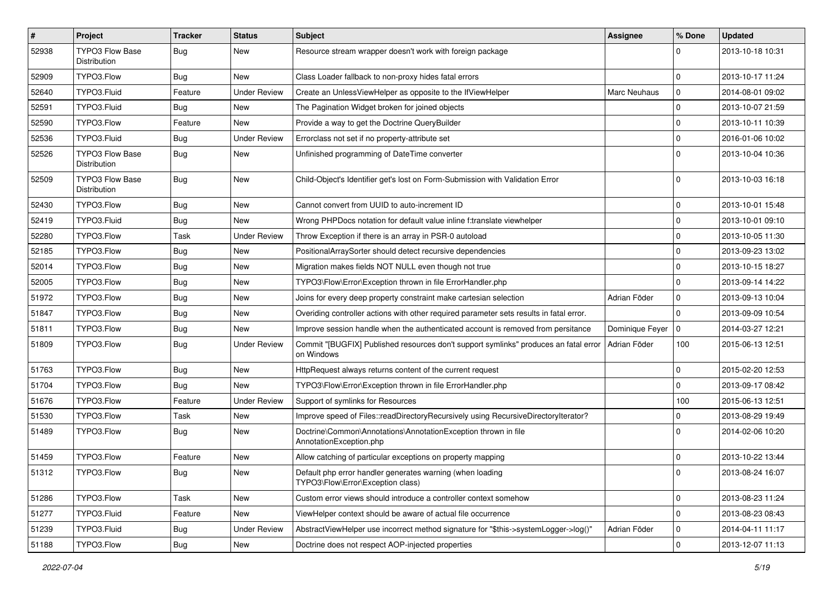| $\sharp$ | Project                                | <b>Tracker</b> | <b>Status</b>       | Subject                                                                                            | <b>Assignee</b> | % Done       | <b>Updated</b>   |
|----------|----------------------------------------|----------------|---------------------|----------------------------------------------------------------------------------------------------|-----------------|--------------|------------------|
| 52938    | <b>TYPO3 Flow Base</b><br>Distribution | Bug            | New                 | Resource stream wrapper doesn't work with foreign package                                          |                 | $\Omega$     | 2013-10-18 10:31 |
| 52909    | TYPO3.Flow                             | Bug            | New                 | Class Loader fallback to non-proxy hides fatal errors                                              |                 | $\mathbf 0$  | 2013-10-17 11:24 |
| 52640    | TYPO3.Fluid                            | Feature        | <b>Under Review</b> | Create an UnlessViewHelper as opposite to the IfViewHelper                                         | Marc Neuhaus    | $\mathbf 0$  | 2014-08-01 09:02 |
| 52591    | TYPO3.Fluid                            | Bug            | New                 | The Pagination Widget broken for joined objects                                                    |                 | $\Omega$     | 2013-10-07 21:59 |
| 52590    | TYPO3.Flow                             | Feature        | New                 | Provide a way to get the Doctrine QueryBuilder                                                     |                 | $\mathbf 0$  | 2013-10-11 10:39 |
| 52536    | TYPO3.Fluid                            | <b>Bug</b>     | <b>Under Review</b> | Errorclass not set if no property-attribute set                                                    |                 | $\mathbf 0$  | 2016-01-06 10:02 |
| 52526    | <b>TYPO3 Flow Base</b><br>Distribution | Bug            | New                 | Unfinished programming of DateTime converter                                                       |                 | $\Omega$     | 2013-10-04 10:36 |
| 52509    | TYPO3 Flow Base<br>Distribution        | <b>Bug</b>     | New                 | Child-Object's Identifier get's lost on Form-Submission with Validation Error                      |                 | $\Omega$     | 2013-10-03 16:18 |
| 52430    | TYPO3.Flow                             | <b>Bug</b>     | New                 | Cannot convert from UUID to auto-increment ID                                                      |                 | 0            | 2013-10-01 15:48 |
| 52419    | TYPO3.Fluid                            | <b>Bug</b>     | New                 | Wrong PHPDocs notation for default value inline f:translate viewhelper                             |                 | $\mathbf 0$  | 2013-10-01 09:10 |
| 52280    | TYPO3.Flow                             | Task           | <b>Under Review</b> | Throw Exception if there is an array in PSR-0 autoload                                             |                 | $\mathbf 0$  | 2013-10-05 11:30 |
| 52185    | TYPO3.Flow                             | <b>Bug</b>     | New                 | PositionalArraySorter should detect recursive dependencies                                         |                 | $\Omega$     | 2013-09-23 13:02 |
| 52014    | TYPO3.Flow                             | Bug            | New                 | Migration makes fields NOT NULL even though not true                                               |                 | 0            | 2013-10-15 18:27 |
| 52005    | TYPO3.Flow                             | Bug            | New                 | TYPO3\Flow\Error\Exception thrown in file ErrorHandler.php                                         |                 | $\Omega$     | 2013-09-14 14:22 |
| 51972    | TYPO3.Flow                             | <b>Bug</b>     | New                 | Joins for every deep property constraint make cartesian selection                                  | Adrian Föder    | $\mathbf 0$  | 2013-09-13 10:04 |
| 51847    | TYPO3.Flow                             | <b>Bug</b>     | New                 | Overiding controller actions with other required parameter sets results in fatal error.            |                 | $\Omega$     | 2013-09-09 10:54 |
| 51811    | TYPO3.Flow                             | <b>Bug</b>     | New                 | Improve session handle when the authenticated account is removed from persitance                   | Dominique Feyer | $\Omega$     | 2014-03-27 12:21 |
| 51809    | TYPO3.Flow                             | Bug            | <b>Under Review</b> | Commit "[BUGFIX] Published resources don't support symlinks" produces an fatal error<br>on Windows | Adrian Föder    | 100          | 2015-06-13 12:51 |
| 51763    | TYPO3.Flow                             | <b>Bug</b>     | New                 | HttpRequest always returns content of the current request                                          |                 | $\mathbf 0$  | 2015-02-20 12:53 |
| 51704    | TYPO3.Flow                             | Bug            | New                 | TYPO3\Flow\Error\Exception thrown in file ErrorHandler.php                                         |                 | 0            | 2013-09-17 08:42 |
| 51676    | TYPO3.Flow                             | Feature        | <b>Under Review</b> | Support of symlinks for Resources                                                                  |                 | 100          | 2015-06-13 12:51 |
| 51530    | TYPO3.Flow                             | Task           | New                 | Improve speed of Files::readDirectoryRecursively using RecursiveDirectoryIterator?                 |                 | $\Omega$     | 2013-08-29 19:49 |
| 51489    | TYPO3.Flow                             | <b>Bug</b>     | New                 | Doctrine\Common\Annotations\AnnotationException thrown in file<br>AnnotationException.php          |                 | $\Omega$     | 2014-02-06 10:20 |
| 51459    | TYPO3.Flow                             | Feature        | New                 | Allow catching of particular exceptions on property mapping                                        |                 | $\mathbf 0$  | 2013-10-22 13:44 |
| 51312    | TYPO3.Flow                             | Bug            | New                 | Default php error handler generates warning (when loading<br>TYPO3\Flow\Error\Exception class)     |                 | $\mathbf{0}$ | 2013-08-24 16:07 |
| 51286    | TYPO3.Flow                             | Task           | New                 | Custom error views should introduce a controller context somehow                                   |                 | $\mathbf 0$  | 2013-08-23 11:24 |
| 51277    | TYPO3.Fluid                            | Feature        | New                 | ViewHelper context should be aware of actual file occurrence                                       |                 | $\mathbf 0$  | 2013-08-23 08:43 |
| 51239    | TYPO3.Fluid                            | <b>Bug</b>     | <b>Under Review</b> | AbstractViewHelper use incorrect method signature for "\$this->systemLogger->log()"                | Adrian Föder    | 0            | 2014-04-11 11:17 |
| 51188    | TYPO3.Flow                             | Bug            | New                 | Doctrine does not respect AOP-injected properties                                                  |                 | $\mathbf 0$  | 2013-12-07 11:13 |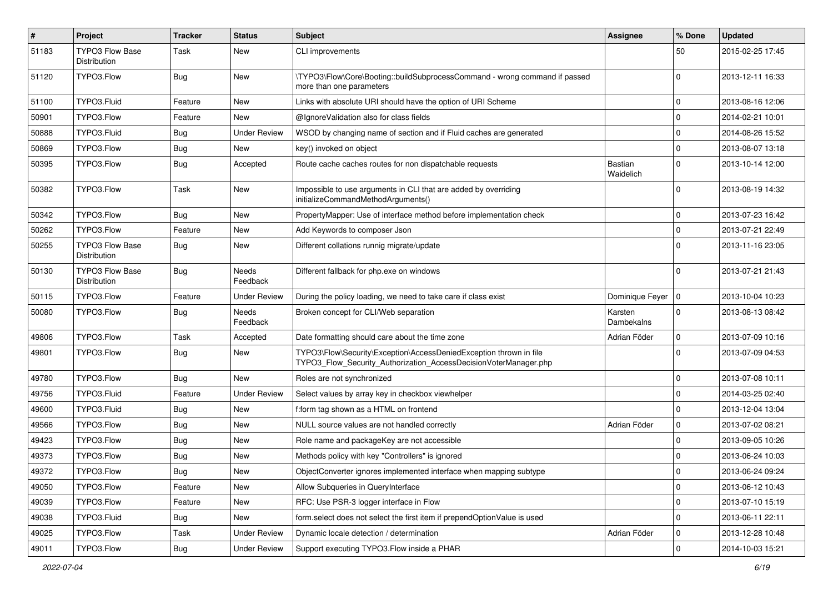| $\vert$ # | <b>Project</b>                         | <b>Tracker</b> | <b>Status</b>            | <b>Subject</b>                                                                                                                         | Assignee              | % Done      | <b>Updated</b>   |
|-----------|----------------------------------------|----------------|--------------------------|----------------------------------------------------------------------------------------------------------------------------------------|-----------------------|-------------|------------------|
| 51183     | <b>TYPO3 Flow Base</b><br>Distribution | Task           | New                      | CLI improvements                                                                                                                       |                       | 50          | 2015-02-25 17:45 |
| 51120     | TYPO3.Flow                             | Bug            | New                      | \TYPO3\Flow\Core\Booting::buildSubprocessCommand - wrong command if passed<br>more than one parameters                                 |                       | 0           | 2013-12-11 16:33 |
| 51100     | TYPO3.Fluid                            | Feature        | <b>New</b>               | Links with absolute URI should have the option of URI Scheme                                                                           |                       | 0           | 2013-08-16 12:06 |
| 50901     | TYPO3.Flow                             | Feature        | New                      | @IgnoreValidation also for class fields                                                                                                |                       | $\mathbf 0$ | 2014-02-21 10:01 |
| 50888     | TYPO3.Fluid                            | Bug            | <b>Under Review</b>      | WSOD by changing name of section and if Fluid caches are generated                                                                     |                       | $\Omega$    | 2014-08-26 15:52 |
| 50869     | TYPO3.Flow                             | Bug            | New                      | key() invoked on object                                                                                                                |                       | $\mathbf 0$ | 2013-08-07 13:18 |
| 50395     | TYPO3.Flow                             | Bug            | Accepted                 | Route cache caches routes for non dispatchable requests                                                                                | Bastian<br>Waidelich  | $\Omega$    | 2013-10-14 12:00 |
| 50382     | TYPO3.Flow                             | Task           | New                      | Impossible to use arguments in CLI that are added by overriding<br>initializeCommandMethodArguments()                                  |                       | $\Omega$    | 2013-08-19 14:32 |
| 50342     | TYPO3.Flow                             | <b>Bug</b>     | New                      | PropertyMapper: Use of interface method before implementation check                                                                    |                       | 0           | 2013-07-23 16:42 |
| 50262     | TYPO3.Flow                             | Feature        | New                      | Add Keywords to composer Json                                                                                                          |                       | $\mathbf 0$ | 2013-07-21 22:49 |
| 50255     | <b>TYPO3 Flow Base</b><br>Distribution | Bug            | New                      | Different collations runnig migrate/update                                                                                             |                       | $\Omega$    | 2013-11-16 23:05 |
| 50130     | <b>TYPO3 Flow Base</b><br>Distribution | Bug            | Needs<br>Feedback        | Different fallback for php.exe on windows                                                                                              |                       | $\Omega$    | 2013-07-21 21:43 |
| 50115     | TYPO3.Flow                             | Feature        | <b>Under Review</b>      | During the policy loading, we need to take care if class exist                                                                         | Dominique Feyer   0   |             | 2013-10-04 10:23 |
| 50080     | TYPO3.Flow                             | Bug            | <b>Needs</b><br>Feedback | Broken concept for CLI/Web separation                                                                                                  | Karsten<br>Dambekalns | $\Omega$    | 2013-08-13 08:42 |
| 49806     | TYPO3.Flow                             | Task           | Accepted                 | Date formatting should care about the time zone                                                                                        | Adrian Föder          | $\mathbf 0$ | 2013-07-09 10:16 |
| 49801     | TYPO3.Flow                             | Bug            | New                      | TYPO3\Flow\Security\Exception\AccessDeniedException thrown in file<br>TYPO3 Flow Security Authorization AccessDecisionVoterManager.php |                       | $\Omega$    | 2013-07-09 04:53 |
| 49780     | TYPO3.Flow                             | <b>Bug</b>     | New                      | Roles are not synchronized                                                                                                             |                       | $\Omega$    | 2013-07-08 10:11 |
| 49756     | TYPO3.Fluid                            | Feature        | <b>Under Review</b>      | Select values by array key in checkbox viewhelper                                                                                      |                       | $\Omega$    | 2014-03-25 02:40 |
| 49600     | TYPO3.Fluid                            | <b>Bug</b>     | New                      | f:form tag shown as a HTML on frontend                                                                                                 |                       | 0           | 2013-12-04 13:04 |
| 49566     | TYPO3.Flow                             | Bug            | New                      | NULL source values are not handled correctly                                                                                           | Adrian Föder          | $\mathbf 0$ | 2013-07-02 08:21 |
| 49423     | TYPO3.Flow                             | <b>Bug</b>     | New                      | Role name and packageKey are not accessible                                                                                            |                       | $\Omega$    | 2013-09-05 10:26 |
| 49373     | TYPO3.Flow                             | <b>Bug</b>     | New                      | Methods policy with key "Controllers" is ignored                                                                                       |                       | $\mathbf 0$ | 2013-06-24 10:03 |
| 49372     | TYPO3.Flow                             | <b>Bug</b>     | New                      | ObjectConverter ignores implemented interface when mapping subtype                                                                     |                       | 0           | 2013-06-24 09:24 |
| 49050     | TYPO3.Flow                             | Feature        | New                      | Allow Subqueries in QueryInterface                                                                                                     |                       | $\mathbf 0$ | 2013-06-12 10:43 |
| 49039     | TYPO3.Flow                             | Feature        | New                      | RFC: Use PSR-3 logger interface in Flow                                                                                                |                       | $\mathbf 0$ | 2013-07-10 15:19 |
| 49038     | TYPO3.Fluid                            | <b>Bug</b>     | New                      | form.select does not select the first item if prependOptionValue is used                                                               |                       | 0           | 2013-06-11 22:11 |
| 49025     | TYPO3.Flow                             | Task           | <b>Under Review</b>      | Dynamic locale detection / determination                                                                                               | Adrian Föder          | 0           | 2013-12-28 10:48 |
| 49011     | TYPO3.Flow                             | Bug            | <b>Under Review</b>      | Support executing TYPO3.Flow inside a PHAR                                                                                             |                       | $\mathbf 0$ | 2014-10-03 15:21 |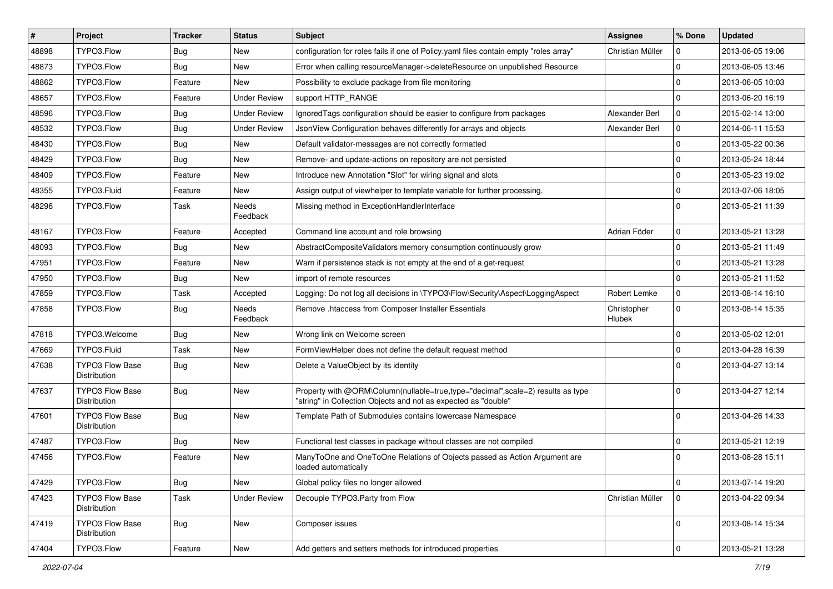| $\sharp$ | Project                                | <b>Tracker</b> | <b>Status</b>            | Subject                                                                                                                                           | Assignee              | % Done      | <b>Updated</b>   |
|----------|----------------------------------------|----------------|--------------------------|---------------------------------------------------------------------------------------------------------------------------------------------------|-----------------------|-------------|------------------|
| 48898    | TYPO3.Flow                             | <b>Bug</b>     | New                      | configuration for roles fails if one of Policy yaml files contain empty "roles array"                                                             | Christian Müller      | 0           | 2013-06-05 19:06 |
| 48873    | TYPO3.Flow                             | <b>Bug</b>     | New                      | Error when calling resourceManager->deleteResource on unpublished Resource                                                                        |                       | $\Omega$    | 2013-06-05 13:46 |
| 48862    | TYPO3.Flow                             | Feature        | New                      | Possibility to exclude package from file monitoring                                                                                               |                       | $\mathbf 0$ | 2013-06-05 10:03 |
| 48657    | TYPO3.Flow                             | Feature        | <b>Under Review</b>      | support HTTP_RANGE                                                                                                                                |                       | $\Omega$    | 2013-06-20 16:19 |
| 48596    | TYPO3.Flow                             | <b>Bug</b>     | <b>Under Review</b>      | IgnoredTags configuration should be easier to configure from packages                                                                             | Alexander Berl        | $\mathbf 0$ | 2015-02-14 13:00 |
| 48532    | TYPO3.Flow                             | <b>Bug</b>     | <b>Under Review</b>      | JsonView Configuration behaves differently for arrays and objects                                                                                 | Alexander Berl        | $\mathbf 0$ | 2014-06-11 15:53 |
| 48430    | TYPO3.Flow                             | Bug            | New                      | Default validator-messages are not correctly formatted                                                                                            |                       | $\Omega$    | 2013-05-22 00:36 |
| 48429    | TYPO3.Flow                             | Bug            | New                      | Remove- and update-actions on repository are not persisted                                                                                        |                       | $\mathbf 0$ | 2013-05-24 18:44 |
| 48409    | TYPO3.Flow                             | Feature        | New                      | Introduce new Annotation "Slot" for wiring signal and slots                                                                                       |                       | $\mathbf 0$ | 2013-05-23 19:02 |
| 48355    | TYPO3.Fluid                            | Feature        | New                      | Assign output of viewhelper to template variable for further processing.                                                                          |                       | $\mathbf 0$ | 2013-07-06 18:05 |
| 48296    | TYPO3.Flow                             | Task           | Needs<br>Feedback        | Missing method in ExceptionHandlerInterface                                                                                                       |                       | $\Omega$    | 2013-05-21 11:39 |
| 48167    | TYPO3.Flow                             | Feature        | Accepted                 | Command line account and role browsing                                                                                                            | Adrian Föder          | $\mathbf 0$ | 2013-05-21 13:28 |
| 48093    | TYPO3.Flow                             | <b>Bug</b>     | New                      | AbstractCompositeValidators memory consumption continuously grow                                                                                  |                       | $\mathbf 0$ | 2013-05-21 11:49 |
| 47951    | TYPO3.Flow                             | Feature        | New                      | Warn if persistence stack is not empty at the end of a get-request                                                                                |                       | $\Omega$    | 2013-05-21 13:28 |
| 47950    | TYPO3.Flow                             | Bug            | New                      | import of remote resources                                                                                                                        |                       | $\mathbf 0$ | 2013-05-21 11:52 |
| 47859    | TYPO3.Flow                             | Task           | Accepted                 | Logging: Do not log all decisions in \TYPO3\Flow\Security\Aspect\LoggingAspect                                                                    | Robert Lemke          | $\mathbf 0$ | 2013-08-14 16:10 |
| 47858    | TYPO3.Flow                             | Bug            | <b>Needs</b><br>Feedback | Remove .htaccess from Composer Installer Essentials                                                                                               | Christopher<br>Hlubek | $\Omega$    | 2013-08-14 15:35 |
| 47818    | TYPO3.Welcome                          | Bug            | New                      | Wrong link on Welcome screen                                                                                                                      |                       | $\mathbf 0$ | 2013-05-02 12:01 |
| 47669    | TYPO3.Fluid                            | Task           | New                      | FormViewHelper does not define the default request method                                                                                         |                       | $\mathbf 0$ | 2013-04-28 16:39 |
| 47638    | <b>TYPO3 Flow Base</b><br>Distribution | Bug            | New                      | Delete a ValueObject by its identity                                                                                                              |                       | $\Omega$    | 2013-04-27 13:14 |
| 47637    | <b>TYPO3 Flow Base</b><br>Distribution | <b>Bug</b>     | New                      | Property with @ORM\Column(nullable=true,type="decimal",scale=2) results as type<br>"string" in Collection Objects and not as expected as "double" |                       | $\Omega$    | 2013-04-27 12:14 |
| 47601    | TYPO3 Flow Base<br>Distribution        | <b>Bug</b>     | New                      | Template Path of Submodules contains lowercase Namespace                                                                                          |                       | $\Omega$    | 2013-04-26 14:33 |
| 47487    | TYPO3.Flow                             | Bug            | New                      | Functional test classes in package without classes are not compiled                                                                               |                       | $\mathbf 0$ | 2013-05-21 12:19 |
| 47456    | TYPO3.Flow                             | Feature        | New                      | ManyToOne and OneToOne Relations of Objects passed as Action Argument are<br>loaded automatically                                                 |                       | $\Omega$    | 2013-08-28 15:11 |
| 47429    | TYPO3.Flow                             | Bug            | New                      | Global policy files no longer allowed                                                                                                             |                       | $\mathbf 0$ | 2013-07-14 19:20 |
| 47423    | <b>TYPO3 Flow Base</b><br>Distribution | Task           | <b>Under Review</b>      | Decouple TYPO3. Party from Flow                                                                                                                   | Christian Müller      | $\mathbf 0$ | 2013-04-22 09:34 |
| 47419    | TYPO3 Flow Base<br>Distribution        | Bug            | New                      | Composer issues                                                                                                                                   |                       | $\mathbf 0$ | 2013-08-14 15:34 |
| 47404    | TYPO3.Flow                             | Feature        | New                      | Add getters and setters methods for introduced properties                                                                                         |                       | $\mathsf 0$ | 2013-05-21 13:28 |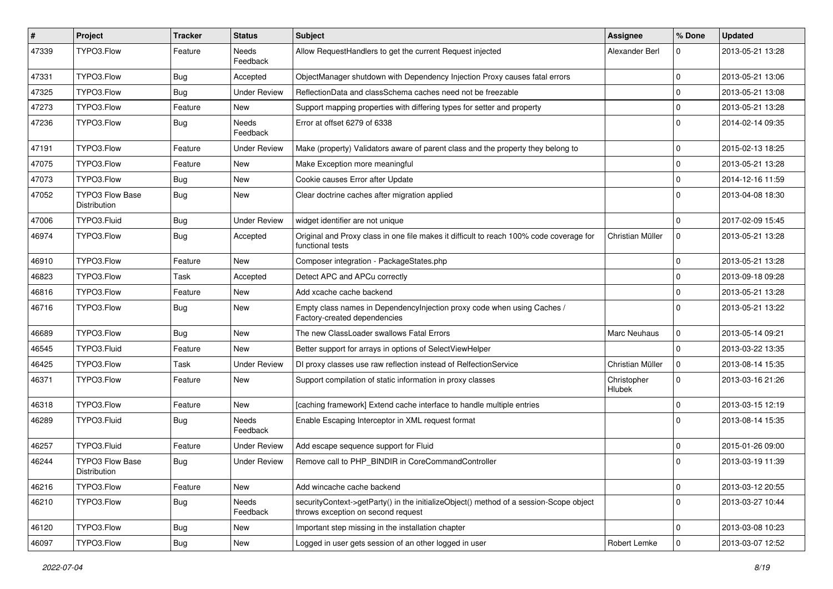| #     | Project                                | <b>Tracker</b> | <b>Status</b>       | <b>Subject</b>                                                                                                               | Assignee                     | % Done       | <b>Updated</b>   |
|-------|----------------------------------------|----------------|---------------------|------------------------------------------------------------------------------------------------------------------------------|------------------------------|--------------|------------------|
| 47339 | TYPO3.Flow                             | Feature        | Needs<br>Feedback   | Allow RequestHandlers to get the current Request injected                                                                    | Alexander Berl               | $\Omega$     | 2013-05-21 13:28 |
| 47331 | TYPO3.Flow                             | Bug            | Accepted            | ObjectManager shutdown with Dependency Injection Proxy causes fatal errors                                                   |                              | $\Omega$     | 2013-05-21 13:06 |
| 47325 | TYPO3.Flow                             | Bug            | <b>Under Review</b> | ReflectionData and classSchema caches need not be freezable                                                                  |                              | $\Omega$     | 2013-05-21 13:08 |
| 47273 | TYPO3.Flow                             | Feature        | New                 | Support mapping properties with differing types for setter and property                                                      |                              | $\Omega$     | 2013-05-21 13:28 |
| 47236 | TYPO3.Flow                             | <b>Bug</b>     | Needs<br>Feedback   | Error at offset 6279 of 6338                                                                                                 |                              | $\Omega$     | 2014-02-14 09:35 |
| 47191 | TYPO3.Flow                             | Feature        | <b>Under Review</b> | Make (property) Validators aware of parent class and the property they belong to                                             |                              | $\mathbf 0$  | 2015-02-13 18:25 |
| 47075 | TYPO3.Flow                             | Feature        | New                 | Make Exception more meaningful                                                                                               |                              | $\Omega$     | 2013-05-21 13:28 |
| 47073 | TYPO3.Flow                             | <b>Bug</b>     | New                 | Cookie causes Error after Update                                                                                             |                              | $\mathbf 0$  | 2014-12-16 11:59 |
| 47052 | <b>TYPO3 Flow Base</b><br>Distribution | Bug            | New                 | Clear doctrine caches after migration applied                                                                                |                              | $\Omega$     | 2013-04-08 18:30 |
| 47006 | TYPO3.Fluid                            | <b>Bug</b>     | <b>Under Review</b> | widget identifier are not unique                                                                                             |                              | $\Omega$     | 2017-02-09 15:45 |
| 46974 | TYPO3.Flow                             | <b>Bug</b>     | Accepted            | Original and Proxy class in one file makes it difficult to reach 100% code coverage for<br>functional tests                  | Christian Müller             | 0            | 2013-05-21 13:28 |
| 46910 | TYPO3.Flow                             | Feature        | New                 | Composer integration - PackageStates.php                                                                                     |                              | $\mathbf 0$  | 2013-05-21 13:28 |
| 46823 | TYPO3.Flow                             | Task           | Accepted            | Detect APC and APCu correctly                                                                                                |                              | $\Omega$     | 2013-09-18 09:28 |
| 46816 | TYPO3.Flow                             | Feature        | New                 | Add xcache cache backend                                                                                                     |                              | $\mathbf 0$  | 2013-05-21 13:28 |
| 46716 | TYPO3.Flow                             | Bug            | New                 | Empty class names in DependencyInjection proxy code when using Caches /<br>Factory-created dependencies                      |                              | $\Omega$     | 2013-05-21 13:22 |
| 46689 | TYPO3.Flow                             | <b>Bug</b>     | New                 | The new ClassLoader swallows Fatal Errors                                                                                    | <b>Marc Neuhaus</b>          | $\mathbf 0$  | 2013-05-14 09:21 |
| 46545 | TYPO3.Fluid                            | Feature        | New                 | Better support for arrays in options of SelectViewHelper                                                                     |                              | $\Omega$     | 2013-03-22 13:35 |
| 46425 | TYPO3.Flow                             | Task           | <b>Under Review</b> | DI proxy classes use raw reflection instead of RelfectionService                                                             | Christian Müller             | $\mathbf 0$  | 2013-08-14 15:35 |
| 46371 | TYPO3.Flow                             | Feature        | New                 | Support compilation of static information in proxy classes                                                                   | Christopher<br><b>Hlubek</b> | $\Omega$     | 2013-03-16 21:26 |
| 46318 | TYPO3.Flow                             | Feature        | New                 | [caching framework] Extend cache interface to handle multiple entries                                                        |                              | $\mathbf 0$  | 2013-03-15 12:19 |
| 46289 | TYPO3.Fluid                            | Bug            | Needs<br>Feedback   | Enable Escaping Interceptor in XML request format                                                                            |                              | $\Omega$     | 2013-08-14 15:35 |
| 46257 | TYPO3.Fluid                            | Feature        | <b>Under Review</b> | Add escape sequence support for Fluid                                                                                        |                              | $\mathbf 0$  | 2015-01-26 09:00 |
| 46244 | TYPO3 Flow Base<br>Distribution        | <b>Bug</b>     | Under Review        | Remove call to PHP_BINDIR in CoreCommandController                                                                           |                              | $\Omega$     | 2013-03-19 11:39 |
| 46216 | TYPO3.Flow                             | Feature        | New                 | Add wincache cache backend                                                                                                   |                              | $\mathbf 0$  | 2013-03-12 20:55 |
| 46210 | TYPO3.Flow                             | <b>Bug</b>     | Needs<br>Feedback   | securityContext->getParty() in the initializeObject() method of a session-Scope object<br>throws exception on second request |                              | $\mathbf 0$  | 2013-03-27 10:44 |
| 46120 | TYPO3.Flow                             | Bug            | New                 | Important step missing in the installation chapter                                                                           |                              | $\mathbf 0$  | 2013-03-08 10:23 |
| 46097 | TYPO3.Flow                             | <b>Bug</b>     | New                 | Logged in user gets session of an other logged in user                                                                       | Robert Lemke                 | $\mathbf{0}$ | 2013-03-07 12:52 |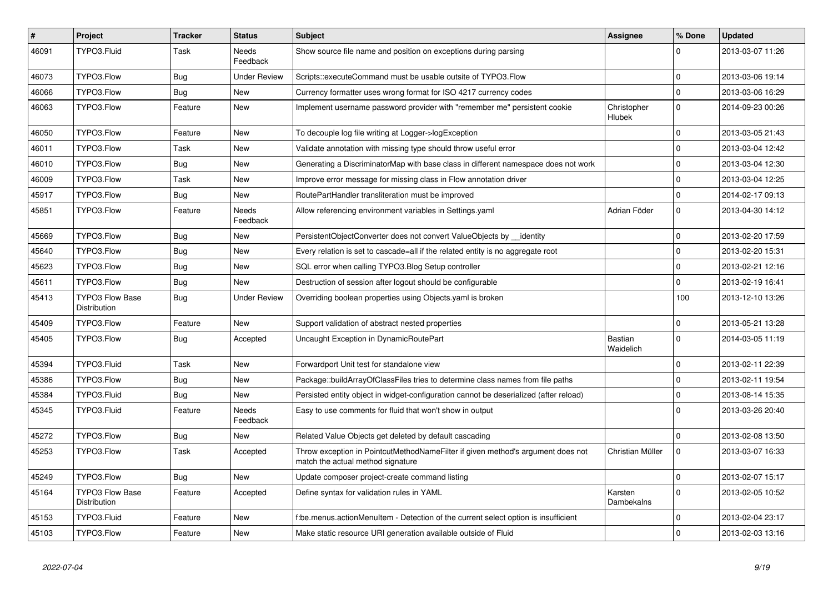| $\vert$ # | <b>Project</b>                                | <b>Tracker</b> | <b>Status</b>            | <b>Subject</b>                                                                                                       | Assignee                     | % Done      | <b>Updated</b>   |
|-----------|-----------------------------------------------|----------------|--------------------------|----------------------------------------------------------------------------------------------------------------------|------------------------------|-------------|------------------|
| 46091     | TYPO3.Fluid                                   | Task           | Needs<br>Feedback        | Show source file name and position on exceptions during parsing                                                      |                              | 0           | 2013-03-07 11:26 |
| 46073     | TYPO3.Flow                                    | <b>Bug</b>     | <b>Under Review</b>      | Scripts::executeCommand must be usable outsite of TYPO3.Flow                                                         |                              | $\mathbf 0$ | 2013-03-06 19:14 |
| 46066     | TYPO3.Flow                                    | Bug            | New                      | Currency formatter uses wrong format for ISO 4217 currency codes                                                     |                              | $\mathbf 0$ | 2013-03-06 16:29 |
| 46063     | TYPO3.Flow                                    | Feature        | New                      | Implement username password provider with "remember me" persistent cookie                                            | Christopher<br><b>Hlubek</b> | $\mathbf 0$ | 2014-09-23 00:26 |
| 46050     | TYPO3.Flow                                    | Feature        | New                      | To decouple log file writing at Logger->logException                                                                 |                              | $\mathbf 0$ | 2013-03-05 21:43 |
| 46011     | TYPO3.Flow                                    | Task           | New                      | Validate annotation with missing type should throw useful error                                                      |                              | $\mathbf 0$ | 2013-03-04 12:42 |
| 46010     | TYPO3.Flow                                    | <b>Bug</b>     | New                      | Generating a DiscriminatorMap with base class in different namespace does not work                                   |                              | $\mathbf 0$ | 2013-03-04 12:30 |
| 46009     | TYPO3.Flow                                    | Task           | New                      | Improve error message for missing class in Flow annotation driver                                                    |                              | $\mathbf 0$ | 2013-03-04 12:25 |
| 45917     | TYPO3.Flow                                    | Bug            | New                      | RoutePartHandler transliteration must be improved                                                                    |                              | $\mathbf 0$ | 2014-02-17 09:13 |
| 45851     | TYPO3.Flow                                    | Feature        | Needs<br>Feedback        | Allow referencing environment variables in Settings.yaml                                                             | Adrian Föder                 | $\Omega$    | 2013-04-30 14:12 |
| 45669     | TYPO3.Flow                                    | Bug            | New                      | PersistentObjectConverter does not convert ValueObjects by identity                                                  |                              | $\mathbf 0$ | 2013-02-20 17:59 |
| 45640     | TYPO3.Flow                                    | <b>Bug</b>     | New                      | Every relation is set to cascade=all if the related entity is no aggregate root                                      |                              | $\mathbf 0$ | 2013-02-20 15:31 |
| 45623     | TYPO3.Flow                                    | <b>Bug</b>     | <b>New</b>               | SQL error when calling TYPO3.Blog Setup controller                                                                   |                              | $\Omega$    | 2013-02-21 12:16 |
| 45611     | TYPO3.Flow                                    | Bug            | New                      | Destruction of session after logout should be configurable                                                           |                              | $\mathbf 0$ | 2013-02-19 16:41 |
| 45413     | <b>TYPO3 Flow Base</b><br><b>Distribution</b> | <b>Bug</b>     | <b>Under Review</b>      | Overriding boolean properties using Objects yaml is broken                                                           |                              | 100         | 2013-12-10 13:26 |
| 45409     | TYPO3.Flow                                    | Feature        | <b>New</b>               | Support validation of abstract nested properties                                                                     |                              | $\Omega$    | 2013-05-21 13:28 |
| 45405     | TYPO3.Flow                                    | <b>Bug</b>     | Accepted                 | Uncaught Exception in DynamicRoutePart                                                                               | Bastian<br>Waidelich         | $\mathbf 0$ | 2014-03-05 11:19 |
| 45394     | TYPO3.Fluid                                   | Task           | <b>New</b>               | Forwardport Unit test for standalone view                                                                            |                              | $\Omega$    | 2013-02-11 22:39 |
| 45386     | TYPO3.Flow                                    | Bug            | New                      | Package::buildArrayOfClassFiles tries to determine class names from file paths                                       |                              | $\mathbf 0$ | 2013-02-11 19:54 |
| 45384     | TYPO3.Fluid                                   | <b>Bug</b>     | New                      | Persisted entity object in widget-configuration cannot be deserialized (after reload)                                |                              | $\Omega$    | 2013-08-14 15:35 |
| 45345     | TYPO3.Fluid                                   | Feature        | <b>Needs</b><br>Feedback | Easy to use comments for fluid that won't show in output                                                             |                              | $\Omega$    | 2013-03-26 20:40 |
| 45272     | TYPO3.Flow                                    | Bug            | <b>New</b>               | Related Value Objects get deleted by default cascading                                                               |                              | $\mathbf 0$ | 2013-02-08 13:50 |
| 45253     | TYPO3.Flow                                    | Task           | Accepted                 | Throw exception in PointcutMethodNameFilter if given method's argument does not<br>match the actual method signature | Christian Müller             | $\mathbf 0$ | 2013-03-07 16:33 |
| 45249     | TYPO3.Flow                                    | Bug            | New                      | Update composer project-create command listing                                                                       |                              | $\mathbf 0$ | 2013-02-07 15:17 |
| 45164     | <b>TYPO3 Flow Base</b><br>Distribution        | Feature        | Accepted                 | Define syntax for validation rules in YAML                                                                           | Karsten<br>Dambekalns        | $\Omega$    | 2013-02-05 10:52 |
| 45153     | TYPO3.Fluid                                   | Feature        | New                      | f:be.menus.actionMenuItem - Detection of the current select option is insufficient                                   |                              | $\mathbf 0$ | 2013-02-04 23:17 |
| 45103     | TYPO3.Flow                                    | Feature        | New                      | Make static resource URI generation available outside of Fluid                                                       |                              | $\Omega$    | 2013-02-03 13:16 |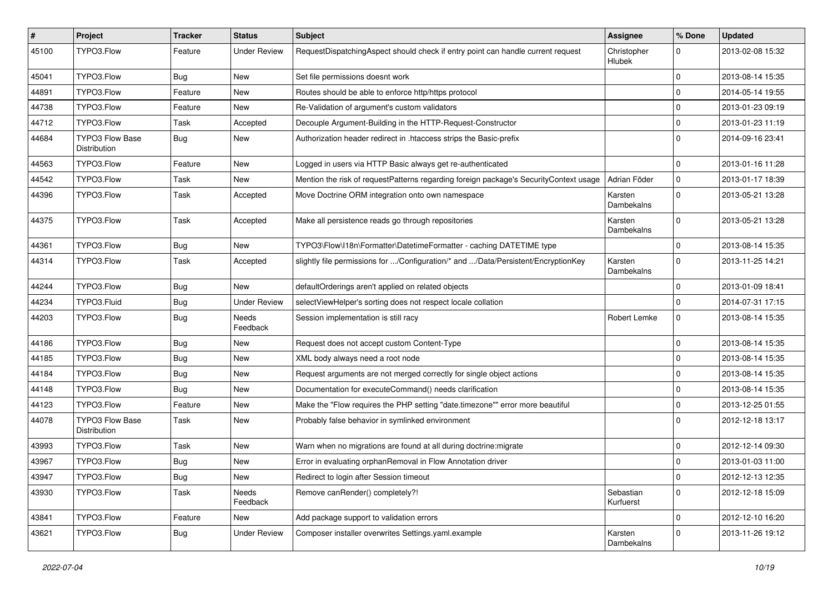| $\vert$ # | Project                                | <b>Tracker</b> | <b>Status</b>            | Subject                                                                               | Assignee               | % Done       | <b>Updated</b>   |
|-----------|----------------------------------------|----------------|--------------------------|---------------------------------------------------------------------------------------|------------------------|--------------|------------------|
| 45100     | TYPO3.Flow                             | Feature        | <b>Under Review</b>      | RequestDispatchingAspect should check if entry point can handle current request       | Christopher<br>Hlubek  | 0            | 2013-02-08 15:32 |
| 45041     | TYPO3.Flow                             | Bug            | New                      | Set file permissions doesnt work                                                      |                        | $\mathbf 0$  | 2013-08-14 15:35 |
| 44891     | TYPO3.Flow                             | Feature        | New                      | Routes should be able to enforce http/https protocol                                  |                        | $\mathbf 0$  | 2014-05-14 19:55 |
| 44738     | TYPO3.Flow                             | Feature        | New                      | Re-Validation of argument's custom validators                                         |                        | $\mathbf 0$  | 2013-01-23 09:19 |
| 44712     | TYPO3.Flow                             | Task           | Accepted                 | Decouple Argument-Building in the HTTP-Request-Constructor                            |                        | $\mathbf 0$  | 2013-01-23 11:19 |
| 44684     | <b>TYPO3 Flow Base</b><br>Distribution | <b>Bug</b>     | New                      | Authorization header redirect in .htaccess strips the Basic-prefix                    |                        | $\Omega$     | 2014-09-16 23:41 |
| 44563     | TYPO3.Flow                             | Feature        | New                      | Logged in users via HTTP Basic always get re-authenticated                            |                        | $\mathbf 0$  | 2013-01-16 11:28 |
| 44542     | TYPO3.Flow                             | Task           | <b>New</b>               | Mention the risk of requestPatterns regarding foreign package's SecurityContext usage | Adrian Föder           | $\mathbf 0$  | 2013-01-17 18:39 |
| 44396     | TYPO3.Flow                             | Task           | Accepted                 | Move Doctrine ORM integration onto own namespace                                      | Karsten<br>Dambekalns  | $\mathbf 0$  | 2013-05-21 13:28 |
| 44375     | TYPO3.Flow                             | Task           | Accepted                 | Make all persistence reads go through repositories                                    | Karsten<br>Dambekalns  | $\mathbf 0$  | 2013-05-21 13:28 |
| 44361     | TYPO3.Flow                             | <b>Bug</b>     | New                      | TYPO3\Flow\I18n\Formatter\DatetimeFormatter - caching DATETIME type                   |                        | $\Omega$     | 2013-08-14 15:35 |
| 44314     | TYPO3.Flow                             | Task           | Accepted                 | slightly file permissions for /Configuration/* and /Data/Persistent/EncryptionKey     | Karsten<br>Dambekalns  | $\Omega$     | 2013-11-25 14:21 |
| 44244     | TYPO3.Flow                             | <b>Bug</b>     | New                      | defaultOrderings aren't applied on related objects                                    |                        | $\mathbf{0}$ | 2013-01-09 18:41 |
| 44234     | TYPO3.Fluid                            | <b>Bug</b>     | <b>Under Review</b>      | selectViewHelper's sorting does not respect locale collation                          |                        | 0            | 2014-07-31 17:15 |
| 44203     | TYPO3.Flow                             | <b>Bug</b>     | <b>Needs</b><br>Feedback | Session implementation is still racy                                                  | Robert Lemke           | $\mathbf 0$  | 2013-08-14 15:35 |
| 44186     | TYPO3.Flow                             | Bug            | New                      | Request does not accept custom Content-Type                                           |                        | $\mathbf 0$  | 2013-08-14 15:35 |
| 44185     | TYPO3.Flow                             | <b>Bug</b>     | New                      | XML body always need a root node                                                      |                        | $\mathbf 0$  | 2013-08-14 15:35 |
| 44184     | TYPO3.Flow                             | <b>Bug</b>     | New                      | Request arguments are not merged correctly for single object actions                  |                        | $\mathbf 0$  | 2013-08-14 15:35 |
| 44148     | TYPO3.Flow                             | Bug            | New                      | Documentation for executeCommand() needs clarification                                |                        | $\mathbf 0$  | 2013-08-14 15:35 |
| 44123     | TYPO3.Flow                             | Feature        | New                      | Make the "Flow requires the PHP setting "date.timezone"" error more beautiful         |                        | $\mathbf 0$  | 2013-12-25 01:55 |
| 44078     | <b>TYPO3 Flow Base</b><br>Distribution | Task           | New                      | Probably false behavior in symlinked environment                                      |                        | $\Omega$     | 2012-12-18 13:17 |
| 43993     | TYPO3.Flow                             | <b>Task</b>    | New                      | Warn when no migrations are found at all during doctrine: migrate                     |                        | $\mathbf 0$  | 2012-12-14 09:30 |
| 43967     | TYPO3.Flow                             | <b>Bug</b>     | New                      | Error in evaluating orphanRemoval in Flow Annotation driver                           |                        | $\mathbf 0$  | 2013-01-03 11:00 |
| 43947     | TYPO3.Flow                             | <b>Bug</b>     | New                      | Redirect to login after Session timeout                                               |                        | $\mathbf 0$  | 2012-12-13 12:35 |
| 43930     | TYPO3.Flow                             | Task           | Needs<br>Feedback        | Remove canRender() completely?!                                                       | Sebastian<br>Kurfuerst | $\mathbf 0$  | 2012-12-18 15:09 |
| 43841     | TYPO3.Flow                             | Feature        | New                      | Add package support to validation errors                                              |                        | $\mathbf 0$  | 2012-12-10 16:20 |
| 43621     | TYPO3.Flow                             | <b>Bug</b>     | <b>Under Review</b>      | Composer installer overwrites Settings.yaml.example                                   | Karsten<br>Dambekalns  | $\mathbf 0$  | 2013-11-26 19:12 |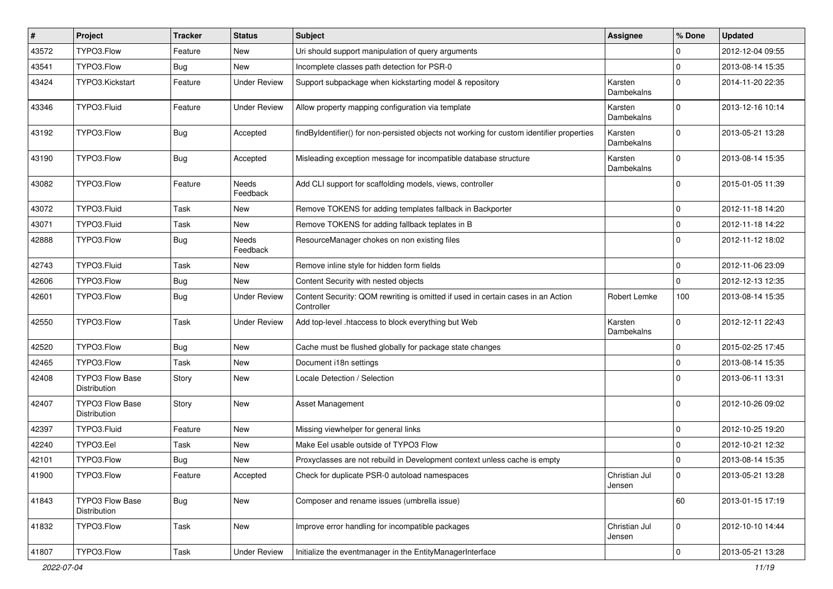| #     | Project                                | <b>Tracker</b> | <b>Status</b>       | Subject                                                                                        | Assignee                | % Done      | <b>Updated</b>   |
|-------|----------------------------------------|----------------|---------------------|------------------------------------------------------------------------------------------------|-------------------------|-------------|------------------|
| 43572 | TYPO3.Flow                             | Feature        | New                 | Uri should support manipulation of query arguments                                             |                         | $\Omega$    | 2012-12-04 09:55 |
| 43541 | TYPO3.Flow                             | <b>Bug</b>     | New                 | Incomplete classes path detection for PSR-0                                                    |                         | $\mathbf 0$ | 2013-08-14 15:35 |
| 43424 | TYPO3.Kickstart                        | Feature        | <b>Under Review</b> | Support subpackage when kickstarting model & repository                                        | Karsten<br>Dambekalns   | $\mathbf 0$ | 2014-11-20 22:35 |
| 43346 | TYPO3.Fluid                            | Feature        | <b>Under Review</b> | Allow property mapping configuration via template                                              | Karsten<br>Dambekalns   | $\Omega$    | 2013-12-16 10:14 |
| 43192 | TYPO3.Flow                             | <b>Bug</b>     | Accepted            | findByIdentifier() for non-persisted objects not working for custom identifier properties      | Karsten<br>Dambekalns   | $\Omega$    | 2013-05-21 13:28 |
| 43190 | TYPO3.Flow                             | <b>Bug</b>     | Accepted            | Misleading exception message for incompatible database structure                               | Karsten<br>Dambekalns   | $\Omega$    | 2013-08-14 15:35 |
| 43082 | TYPO3.Flow                             | Feature        | Needs<br>Feedback   | Add CLI support for scaffolding models, views, controller                                      |                         | $\mathbf 0$ | 2015-01-05 11:39 |
| 43072 | TYPO3.Fluid                            | Task           | New                 | Remove TOKENS for adding templates fallback in Backporter                                      |                         | 0           | 2012-11-18 14:20 |
| 43071 | TYPO3.Fluid                            | Task           | New                 | Remove TOKENS for adding fallback teplates in B                                                |                         | $\mathbf 0$ | 2012-11-18 14:22 |
| 42888 | TYPO3.Flow                             | Bug            | Needs<br>Feedback   | ResourceManager chokes on non existing files                                                   |                         | $\Omega$    | 2012-11-12 18:02 |
| 42743 | TYPO3.Fluid                            | Task           | New                 | Remove inline style for hidden form fields                                                     |                         | 0           | 2012-11-06 23:09 |
| 42606 | TYPO3.Flow                             | Bug            | <b>New</b>          | Content Security with nested objects                                                           |                         | $\Omega$    | 2012-12-13 12:35 |
| 42601 | TYPO3.Flow                             | Bug            | <b>Under Review</b> | Content Security: QOM rewriting is omitted if used in certain cases in an Action<br>Controller | Robert Lemke            | 100         | 2013-08-14 15:35 |
| 42550 | TYPO3.Flow                             | Task           | <b>Under Review</b> | Add top-level .htaccess to block everything but Web                                            | Karsten<br>Dambekalns   | $\Omega$    | 2012-12-11 22:43 |
| 42520 | TYPO3.Flow                             | Bug            | New                 | Cache must be flushed globally for package state changes                                       |                         | 0           | 2015-02-25 17:45 |
| 42465 | TYPO3.Flow                             | Task           | New                 | Document i18n settings                                                                         |                         | $\mathbf 0$ | 2013-08-14 15:35 |
| 42408 | TYPO3 Flow Base<br>Distribution        | Story          | New                 | Locale Detection / Selection                                                                   |                         | 0           | 2013-06-11 13:31 |
| 42407 | <b>TYPO3 Flow Base</b><br>Distribution | Story          | <b>New</b>          | Asset Management                                                                               |                         | $\Omega$    | 2012-10-26 09:02 |
| 42397 | TYPO3.Fluid                            | Feature        | <b>New</b>          | Missing viewhelper for general links                                                           |                         | $\mathbf 0$ | 2012-10-25 19:20 |
| 42240 | TYPO3.Eel                              | Task           | New                 | Make Eel usable outside of TYPO3 Flow                                                          |                         | 0           | 2012-10-21 12:32 |
| 42101 | TYPO3.Flow                             | <b>Bug</b>     | New                 | Proxyclasses are not rebuild in Development context unless cache is empty                      |                         | $\mathbf 0$ | 2013-08-14 15:35 |
| 41900 | TYPO3.Flow                             | Feature        | Accepted            | Check for duplicate PSR-0 autoload namespaces                                                  | Christian Jul<br>Jensen | 0           | 2013-05-21 13:28 |
| 41843 | TYPO3 Flow Base<br>Distribution        | <b>Bug</b>     | New                 | Composer and rename issues (umbrella issue)                                                    |                         | 60          | 2013-01-15 17:19 |
| 41832 | TYPO3.Flow                             | Task           | New                 | Improve error handling for incompatible packages                                               | Christian Jul<br>Jensen | 0           | 2012-10-10 14:44 |
| 41807 | TYPO3.Flow                             | Task           | <b>Under Review</b> | Initialize the eventmanager in the EntityManagerInterface                                      |                         | $\mathbf 0$ | 2013-05-21 13:28 |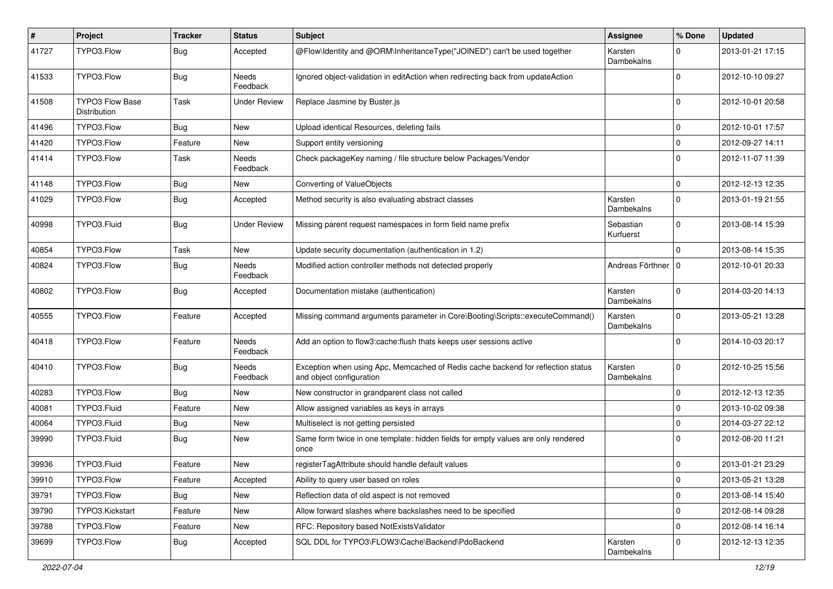| $\pmb{\#}$ | Project                                | <b>Tracker</b> | <b>Status</b>       | Subject                                                                                                      | Assignee               | % Done      | <b>Updated</b>   |
|------------|----------------------------------------|----------------|---------------------|--------------------------------------------------------------------------------------------------------------|------------------------|-------------|------------------|
| 41727      | TYPO3.Flow                             | <b>Bug</b>     | Accepted            | @Flow\Identity and @ORM\InheritanceType("JOINED") can't be used together                                     | Karsten<br>Dambekalns  | $\Omega$    | 2013-01-21 17:15 |
| 41533      | TYPO3.Flow                             | <b>Bug</b>     | Needs<br>Feedback   | Ignored object-validation in editAction when redirecting back from updateAction                              |                        | 0           | 2012-10-10 09:27 |
| 41508      | <b>TYPO3 Flow Base</b><br>Distribution | Task           | <b>Under Review</b> | Replace Jasmine by Buster.js                                                                                 |                        | $\Omega$    | 2012-10-01 20:58 |
| 41496      | TYPO3.Flow                             | Bug            | <b>New</b>          | Upload identical Resources, deleting fails                                                                   |                        | $\mathbf 0$ | 2012-10-01 17:57 |
| 41420      | TYPO3.Flow                             | Feature        | New                 | Support entity versioning                                                                                    |                        | $\mathbf 0$ | 2012-09-27 14:11 |
| 41414      | TYPO3.Flow                             | Task           | Needs<br>Feedback   | Check packageKey naming / file structure below Packages/Vendor                                               |                        | $\Omega$    | 2012-11-07 11:39 |
| 41148      | TYPO3.Flow                             | Bug            | New                 | Converting of ValueObjects                                                                                   |                        | $\mathbf 0$ | 2012-12-13 12:35 |
| 41029      | TYPO3.Flow                             | <b>Bug</b>     | Accepted            | Method security is also evaluating abstract classes                                                          | Karsten<br>Dambekalns  | $\mathbf 0$ | 2013-01-19 21:55 |
| 40998      | TYPO3.Fluid                            | <b>Bug</b>     | <b>Under Review</b> | Missing parent request namespaces in form field name prefix                                                  | Sebastian<br>Kurfuerst | 0           | 2013-08-14 15:39 |
| 40854      | TYPO3.Flow                             | Task           | New                 | Update security documentation (authentication in 1.2)                                                        |                        | $\Omega$    | 2013-08-14 15:35 |
| 40824      | TYPO3.Flow                             | <b>Bug</b>     | Needs<br>Feedback   | Modified action controller methods not detected properly                                                     | Andreas Förthner       | 0           | 2012-10-01 20:33 |
| 40802      | TYPO3.Flow                             | Bug            | Accepted            | Documentation mistake (authentication)                                                                       | Karsten<br>Dambekalns  | $\Omega$    | 2014-03-20 14:13 |
| 40555      | TYPO3.Flow                             | Feature        | Accepted            | Missing command arguments parameter in Core\Booting\Scripts::executeCommand()                                | Karsten<br>Dambekalns  | $\Omega$    | 2013-05-21 13:28 |
| 40418      | TYPO3.Flow                             | Feature        | Needs<br>Feedback   | Add an option to flow3:cache:flush thats keeps user sessions active                                          |                        | $\Omega$    | 2014-10-03 20:17 |
| 40410      | TYPO3.Flow                             | <b>Bug</b>     | Needs<br>Feedback   | Exception when using Apc, Memcached of Redis cache backend for reflection status<br>and object configuration | Karsten<br>Dambekalns  | $\Omega$    | 2012-10-25 15:56 |
| 40283      | TYPO3.Flow                             | <b>Bug</b>     | New                 | New constructor in grandparent class not called                                                              |                        | $\mathbf 0$ | 2012-12-13 12:35 |
| 40081      | TYPO3.Fluid                            | Feature        | New                 | Allow assigned variables as keys in arrays                                                                   |                        | $\mathbf 0$ | 2013-10-02 09:38 |
| 40064      | TYPO3.Fluid                            | <b>Bug</b>     | New                 | Multiselect is not getting persisted                                                                         |                        | $\mathbf 0$ | 2014-03-27 22:12 |
| 39990      | TYPO3.Fluid                            | Bug            | New                 | Same form twice in one template: hidden fields for empty values are only rendered<br>once                    |                        | $\Omega$    | 2012-08-20 11:21 |
| 39936      | TYPO3.Fluid                            | Feature        | New                 | registerTagAttribute should handle default values                                                            |                        | 0           | 2013-01-21 23:29 |
| 39910      | TYPO3.Flow                             | Feature        | Accepted            | Ability to query user based on roles                                                                         |                        | $\mathbf 0$ | 2013-05-21 13:28 |
| 39791      | TYPO3.Flow                             | <b>Bug</b>     | New                 | Reflection data of old aspect is not removed                                                                 |                        | $\mathbf 0$ | 2013-08-14 15:40 |
| 39790      | TYPO3.Kickstart                        | Feature        | New                 | Allow forward slashes where backslashes need to be specified                                                 |                        | 0           | 2012-08-14 09:28 |
| 39788      | TYPO3.Flow                             | Feature        | New                 | RFC: Repository based NotExistsValidator                                                                     |                        | $\mathbf 0$ | 2012-08-14 16:14 |
| 39699      | TYPO3.Flow                             | Bug            | Accepted            | SQL DDL for TYPO3\FLOW3\Cache\Backend\PdoBackend                                                             | Karsten<br>Dambekalns  | $\mathbf 0$ | 2012-12-13 12:35 |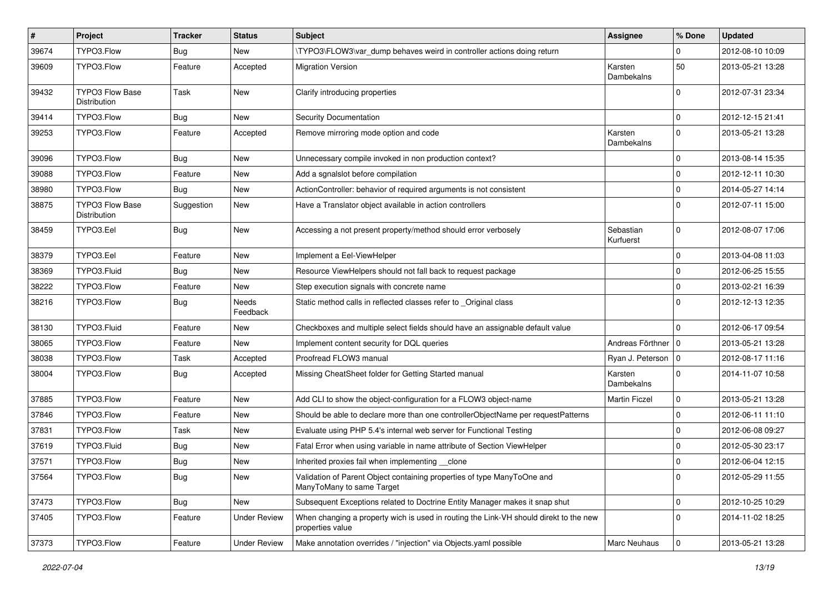| #     | Project                         | <b>Tracker</b> | <b>Status</b>       | Subject                                                                                                   | Assignee               | % Done         | <b>Updated</b>   |
|-------|---------------------------------|----------------|---------------------|-----------------------------------------------------------------------------------------------------------|------------------------|----------------|------------------|
| 39674 | TYPO3.Flow                      | <b>Bug</b>     | New                 | \TYPO3\FLOW3\var_dump behaves weird in controller actions doing return                                    |                        | 0              | 2012-08-10 10:09 |
| 39609 | TYPO3.Flow                      | Feature        | Accepted            | <b>Migration Version</b>                                                                                  | Karsten<br>Dambekalns  | 50             | 2013-05-21 13:28 |
| 39432 | TYPO3 Flow Base<br>Distribution | Task           | New                 | Clarify introducing properties                                                                            |                        | 0              | 2012-07-31 23:34 |
| 39414 | TYPO3.Flow                      | Bug            | New                 | Security Documentation                                                                                    |                        | $\mathbf 0$    | 2012-12-15 21:41 |
| 39253 | TYPO3.Flow                      | Feature        | Accepted            | Remove mirroring mode option and code                                                                     | Karsten<br>Dambekalns  | $\Omega$       | 2013-05-21 13:28 |
| 39096 | TYPO3.Flow                      | Bug            | New                 | Unnecessary compile invoked in non production context?                                                    |                        | $\Omega$       | 2013-08-14 15:35 |
| 39088 | TYPO3.Flow                      | Feature        | New                 | Add a sgnalslot before compilation                                                                        |                        | $\mathbf 0$    | 2012-12-11 10:30 |
| 38980 | TYPO3.Flow                      | Bug            | New                 | ActionController: behavior of required arguments is not consistent                                        |                        | $\mathbf 0$    | 2014-05-27 14:14 |
| 38875 | TYPO3 Flow Base<br>Distribution | Suggestion     | New                 | Have a Translator object available in action controllers                                                  |                        | $\Omega$       | 2012-07-11 15:00 |
| 38459 | TYPO3.Eel                       | Bug            | New                 | Accessing a not present property/method should error verbosely                                            | Sebastian<br>Kurfuerst | $\mathbf 0$    | 2012-08-07 17:06 |
| 38379 | TYPO3.Eel                       | Feature        | <b>New</b>          | Implement a Eel-ViewHelper                                                                                |                        | $\mathbf 0$    | 2013-04-08 11:03 |
| 38369 | TYPO3.Fluid                     | Bug            | New                 | Resource ViewHelpers should not fall back to request package                                              |                        | $\mathbf 0$    | 2012-06-25 15:55 |
| 38222 | TYPO3.Flow                      | Feature        | New                 | Step execution signals with concrete name                                                                 |                        | $\mathbf 0$    | 2013-02-21 16:39 |
| 38216 | TYPO3.Flow                      | Bug            | Needs<br>Feedback   | Static method calls in reflected classes refer to _Original class                                         |                        | $\Omega$       | 2012-12-13 12:35 |
| 38130 | TYPO3.Fluid                     | Feature        | New                 | Checkboxes and multiple select fields should have an assignable default value                             |                        | $\mathbf 0$    | 2012-06-17 09:54 |
| 38065 | TYPO3.Flow                      | Feature        | New                 | Implement content security for DQL queries                                                                | Andreas Förthner   0   |                | 2013-05-21 13:28 |
| 38038 | TYPO3.Flow                      | Task           | Accepted            | Proofread FLOW3 manual                                                                                    | Ryan J. Peterson   0   |                | 2012-08-17 11:16 |
| 38004 | TYPO3.Flow                      | Bug            | Accepted            | Missing CheatSheet folder for Getting Started manual                                                      | Karsten<br>Dambekalns  | 0              | 2014-11-07 10:58 |
| 37885 | TYPO3.Flow                      | Feature        | <b>New</b>          | Add CLI to show the object-configuration for a FLOW3 object-name                                          | <b>Martin Ficzel</b>   | $\mathbf 0$    | 2013-05-21 13:28 |
| 37846 | TYPO3.Flow                      | Feature        | New                 | Should be able to declare more than one controllerObjectName per requestPatterns                          |                        | $\mathbf 0$    | 2012-06-11 11:10 |
| 37831 | TYPO3.Flow                      | Task           | New                 | Evaluate using PHP 5.4's internal web server for Functional Testing                                       |                        | $\mathbf 0$    | 2012-06-08 09:27 |
| 37619 | TYPO3.Fluid                     | Bug            | New                 | Fatal Error when using variable in name attribute of Section ViewHelper                                   |                        | $\mathbf 0$    | 2012-05-30 23:17 |
| 37571 | TYPO3.Flow                      | Bug            | New                 | Inherited proxies fail when implementing clone                                                            |                        | $\mathbf 0$    | 2012-06-04 12:15 |
| 37564 | TYPO3.Flow                      | <b>Bug</b>     | New                 | Validation of Parent Object containing properties of type ManyToOne and<br>ManyToMany to same Target      |                        | $\overline{0}$ | 2012-05-29 11:55 |
| 37473 | TYPO3.Flow                      | <b>Bug</b>     | New                 | Subsequent Exceptions related to Doctrine Entity Manager makes it snap shut                               |                        | $\mathbf 0$    | 2012-10-25 10:29 |
| 37405 | TYPO3.Flow                      | Feature        | <b>Under Review</b> | When changing a property wich is used in routing the Link-VH should direkt to the new<br>properties value |                        | $\mathbf 0$    | 2014-11-02 18:25 |
| 37373 | TYPO3.Flow                      | Feature        | Under Review        | Make annotation overrides / "injection" via Objects.yaml possible                                         | <b>Marc Neuhaus</b>    | $\mathbf 0$    | 2013-05-21 13:28 |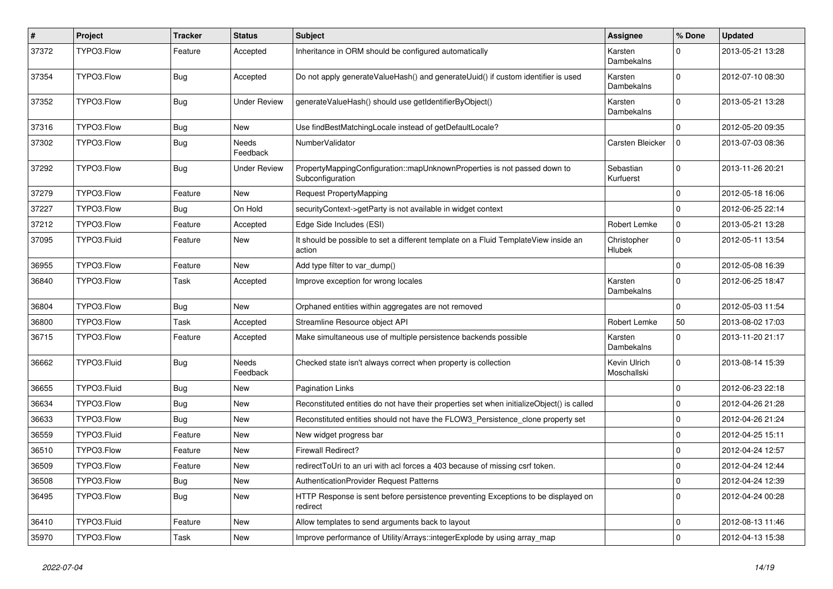| $\sharp$ | Project     | <b>Tracker</b> | <b>Status</b>       | Subject                                                                                       | Assignee                    | % Done      | <b>Updated</b>   |
|----------|-------------|----------------|---------------------|-----------------------------------------------------------------------------------------------|-----------------------------|-------------|------------------|
| 37372    | TYPO3.Flow  | Feature        | Accepted            | Inheritance in ORM should be configured automatically                                         | Karsten<br>Dambekalns       | $\Omega$    | 2013-05-21 13:28 |
| 37354    | TYPO3.Flow  | Bug            | Accepted            | Do not apply generateValueHash() and generateUuid() if custom identifier is used              | Karsten<br>Dambekalns       | $\Omega$    | 2012-07-10 08:30 |
| 37352    | TYPO3.Flow  | <b>Bug</b>     | <b>Under Review</b> | generateValueHash() should use getIdentifierByObject()                                        | Karsten<br>Dambekalns       | $\Omega$    | 2013-05-21 13:28 |
| 37316    | TYPO3.Flow  | <b>Bug</b>     | New                 | Use findBestMatchingLocale instead of getDefaultLocale?                                       |                             | $\Omega$    | 2012-05-20 09:35 |
| 37302    | TYPO3.Flow  | Bug            | Needs<br>Feedback   | NumberValidator                                                                               | Carsten Bleicker            | 0           | 2013-07-03 08:36 |
| 37292    | TYPO3.Flow  | <b>Bug</b>     | Under Review        | PropertyMappingConfiguration::mapUnknownProperties is not passed down to<br>Subconfiguration  | Sebastian<br>Kurfuerst      | $\Omega$    | 2013-11-26 20:21 |
| 37279    | TYPO3.Flow  | Feature        | New                 | Request PropertyMapping                                                                       |                             | $\Omega$    | 2012-05-18 16:06 |
| 37227    | TYPO3.Flow  | Bug            | On Hold             | securityContext->getParty is not available in widget context                                  |                             | 0           | 2012-06-25 22:14 |
| 37212    | TYPO3.Flow  | Feature        | Accepted            | Edge Side Includes (ESI)                                                                      | Robert Lemke                | 0           | 2013-05-21 13:28 |
| 37095    | TYPO3.Fluid | Feature        | New                 | It should be possible to set a different template on a Fluid TemplateView inside an<br>action | Christopher<br>Hlubek       | $\Omega$    | 2012-05-11 13:54 |
| 36955    | TYPO3.Flow  | Feature        | New                 | Add type filter to var_dump()                                                                 |                             | $\mathbf 0$ | 2012-05-08 16:39 |
| 36840    | TYPO3.Flow  | Task           | Accepted            | Improve exception for wrong locales                                                           | Karsten<br>Dambekalns       | $\Omega$    | 2012-06-25 18:47 |
| 36804    | TYPO3.Flow  | <b>Bug</b>     | <b>New</b>          | Orphaned entities within aggregates are not removed                                           |                             | $\Omega$    | 2012-05-03 11:54 |
| 36800    | TYPO3.Flow  | Task           | Accepted            | Streamline Resource object API                                                                | Robert Lemke                | 50          | 2013-08-02 17:03 |
| 36715    | TYPO3.Flow  | Feature        | Accepted            | Make simultaneous use of multiple persistence backends possible                               | Karsten<br>Dambekalns       | 0           | 2013-11-20 21:17 |
| 36662    | TYPO3.Fluid | <b>Bug</b>     | Needs<br>Feedback   | Checked state isn't always correct when property is collection                                | Kevin Ulrich<br>Moschallski | $\mathbf 0$ | 2013-08-14 15:39 |
| 36655    | TYPO3.Fluid | <b>Bug</b>     | New                 | <b>Pagination Links</b>                                                                       |                             | $\mathbf 0$ | 2012-06-23 22:18 |
| 36634    | TYPO3.Flow  | Bug            | New                 | Reconstituted entities do not have their properties set when initializeObject() is called     |                             | 0           | 2012-04-26 21:28 |
| 36633    | TYPO3.Flow  | <b>Bug</b>     | New                 | Reconstituted entities should not have the FLOW3_Persistence_clone property set               |                             | $\Omega$    | 2012-04-26 21:24 |
| 36559    | TYPO3.Fluid | Feature        | New                 | New widget progress bar                                                                       |                             | $\mathbf 0$ | 2012-04-25 15:11 |
| 36510    | TYPO3.Flow  | Feature        | New                 | Firewall Redirect?                                                                            |                             | $\mathbf 0$ | 2012-04-24 12:57 |
| 36509    | TYPO3.Flow  | Feature        | New                 | redirect To Uri to an uri with acl forces a 403 because of missing csrf token.                |                             | $\mathbf 0$ | 2012-04-24 12:44 |
| 36508    | TYPO3.Flow  | <b>Bug</b>     | New                 | AuthenticationProvider Request Patterns                                                       |                             | $\mathbf 0$ | 2012-04-24 12:39 |
| 36495    | TYPO3.Flow  | Bug            | New                 | HTTP Response is sent before persistence preventing Exceptions to be displayed on<br>redirect |                             | $\mathbf 0$ | 2012-04-24 00:28 |
| 36410    | TYPO3.Fluid | Feature        | New                 | Allow templates to send arguments back to layout                                              |                             | 0           | 2012-08-13 11:46 |
| 35970    | TYPO3.Flow  | Task           | New                 | Improve performance of Utility/Arrays::integerExplode by using array_map                      |                             | $\mathbf 0$ | 2012-04-13 15:38 |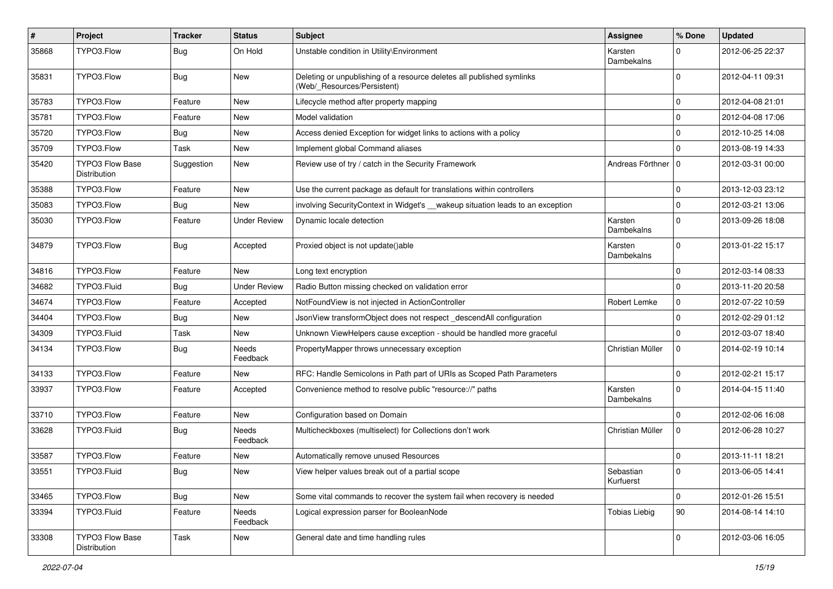| #     | Project                                | <b>Tracker</b> | <b>Status</b>       | <b>Subject</b>                                                                                       | Assignee               | % Done       | <b>Updated</b>   |
|-------|----------------------------------------|----------------|---------------------|------------------------------------------------------------------------------------------------------|------------------------|--------------|------------------|
| 35868 | TYPO3.Flow                             | <b>Bug</b>     | On Hold             | Unstable condition in Utility\Environment                                                            | Karsten<br>Dambekalns  | $\Omega$     | 2012-06-25 22:37 |
| 35831 | TYPO3.Flow                             | Bug            | New                 | Deleting or unpublishing of a resource deletes all published symlinks<br>(Web/_Resources/Persistent) |                        | $\Omega$     | 2012-04-11 09:31 |
| 35783 | TYPO3.Flow                             | Feature        | <b>New</b>          | Lifecycle method after property mapping                                                              |                        | $\mathbf 0$  | 2012-04-08 21:01 |
| 35781 | TYPO3.Flow                             | Feature        | New                 | Model validation                                                                                     |                        | $\mathbf 0$  | 2012-04-08 17:06 |
| 35720 | TYPO3.Flow                             | <b>Bug</b>     | New                 | Access denied Exception for widget links to actions with a policy                                    |                        | $\Omega$     | 2012-10-25 14:08 |
| 35709 | TYPO3.Flow                             | Task           | New                 | Implement global Command aliases                                                                     |                        | $\Omega$     | 2013-08-19 14:33 |
| 35420 | <b>TYPO3 Flow Base</b><br>Distribution | Suggestion     | New                 | Review use of try / catch in the Security Framework                                                  | Andreas Förthner   0   |              | 2012-03-31 00:00 |
| 35388 | TYPO3.Flow                             | Feature        | New                 | Use the current package as default for translations within controllers                               |                        | $\mathbf 0$  | 2013-12-03 23:12 |
| 35083 | TYPO3.Flow                             | Bug            | New                 | involving SecurityContext in Widget's __wakeup situation leads to an exception                       |                        | $\mathbf{0}$ | 2012-03-21 13:06 |
| 35030 | TYPO3.Flow                             | Feature        | Under Review        | Dynamic locale detection                                                                             | Karsten<br>Dambekalns  | $\Omega$     | 2013-09-26 18:08 |
| 34879 | TYPO3.Flow                             | Bug            | Accepted            | Proxied object is not update()able                                                                   | Karsten<br>Dambekalns  | $\Omega$     | 2013-01-22 15:17 |
| 34816 | TYPO3.Flow                             | Feature        | New                 | Long text encryption                                                                                 |                        | $\Omega$     | 2012-03-14 08:33 |
| 34682 | TYPO3.Fluid                            | <b>Bug</b>     | <b>Under Review</b> | Radio Button missing checked on validation error                                                     |                        | $\Omega$     | 2013-11-20 20:58 |
| 34674 | TYPO3.Flow                             | Feature        | Accepted            | NotFoundView is not injected in ActionController                                                     | Robert Lemke           | $\mathbf 0$  | 2012-07-22 10:59 |
| 34404 | TYPO3.Flow                             | <b>Bug</b>     | New                 | JsonView transformObject does not respect_descendAll configuration                                   |                        | $\mathbf{0}$ | 2012-02-29 01:12 |
| 34309 | TYPO3.Fluid                            | Task           | New                 | Unknown ViewHelpers cause exception - should be handled more graceful                                |                        | $\Omega$     | 2012-03-07 18:40 |
| 34134 | TYPO3.Flow                             | Bug            | Needs<br>Feedback   | PropertyMapper throws unnecessary exception                                                          | Christian Müller       | 0            | 2014-02-19 10:14 |
| 34133 | TYPO3.Flow                             | Feature        | New                 | RFC: Handle Semicolons in Path part of URIs as Scoped Path Parameters                                |                        | $\mathbf 0$  | 2012-02-21 15:17 |
| 33937 | TYPO3.Flow                             | Feature        | Accepted            | Convenience method to resolve public "resource://" paths                                             | Karsten<br>Dambekalns  | $\Omega$     | 2014-04-15 11:40 |
| 33710 | TYPO3.Flow                             | Feature        | New                 | Configuration based on Domain                                                                        |                        | $\mathbf{0}$ | 2012-02-06 16:08 |
| 33628 | TYPO3.Fluid                            | <b>Bug</b>     | Needs<br>Feedback   | Multicheckboxes (multiselect) for Collections don't work                                             | Christian Müller       | 0            | 2012-06-28 10:27 |
| 33587 | TYPO3.Flow                             | Feature        | New                 | Automatically remove unused Resources                                                                |                        | 0            | 2013-11-11 18:21 |
| 33551 | TYPO3.Fluid                            | <b>Bug</b>     | New                 | View helper values break out of a partial scope                                                      | Sebastian<br>Kurfuerst |              | 2013-06-05 14:41 |
| 33465 | TYPO3.Flow                             | <b>Bug</b>     | New                 | Some vital commands to recover the system fail when recovery is needed                               |                        | $\Omega$     | 2012-01-26 15:51 |
| 33394 | TYPO3.Fluid                            | Feature        | Needs<br>Feedback   | Logical expression parser for BooleanNode                                                            | <b>Tobias Liebig</b>   | 90           | 2014-08-14 14:10 |
| 33308 | TYPO3 Flow Base<br>Distribution        | Task           | New                 | General date and time handling rules                                                                 |                        | $\mathbf{0}$ | 2012-03-06 16:05 |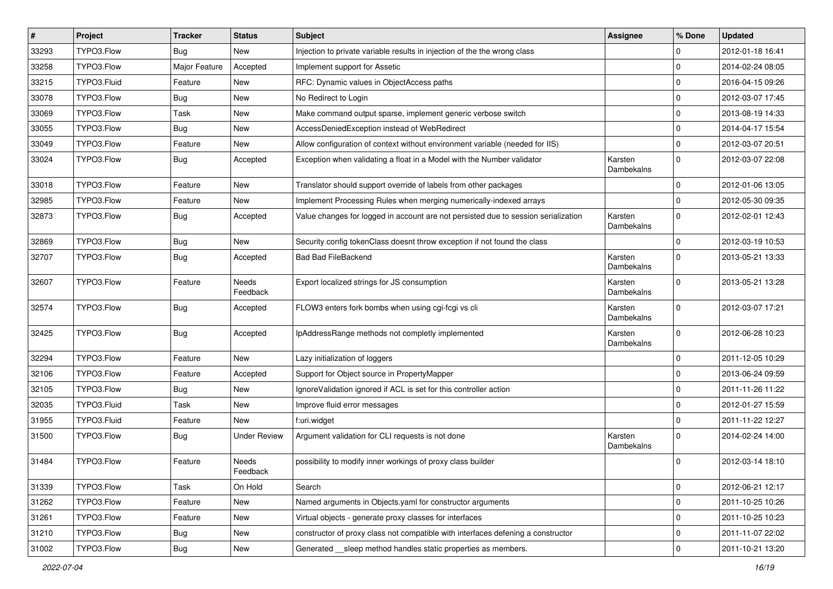| #     | Project     | <b>Tracker</b> | <b>Status</b>       | Subject                                                                            | Assignee              | % Done       | <b>Updated</b>   |
|-------|-------------|----------------|---------------------|------------------------------------------------------------------------------------|-----------------------|--------------|------------------|
| 33293 | TYPO3.Flow  | Bug            | New                 | Injection to private variable results in injection of the the wrong class          |                       | 0            | 2012-01-18 16:41 |
| 33258 | TYPO3.Flow  | Major Feature  | Accepted            | Implement support for Assetic                                                      |                       | $\mathbf 0$  | 2014-02-24 08:05 |
| 33215 | TYPO3.Fluid | Feature        | New                 | RFC: Dynamic values in ObjectAccess paths                                          |                       | $\mathbf 0$  | 2016-04-15 09:26 |
| 33078 | TYPO3.Flow  | Bug            | New                 | No Redirect to Login                                                               |                       | $\mathbf 0$  | 2012-03-07 17:45 |
| 33069 | TYPO3.Flow  | Task           | New                 | Make command output sparse, implement generic verbose switch                       |                       | $\mathbf 0$  | 2013-08-19 14:33 |
| 33055 | TYPO3.Flow  | Bug            | New                 | AccessDeniedException instead of WebRedirect                                       |                       | $\mathbf 0$  | 2014-04-17 15:54 |
| 33049 | TYPO3.Flow  | Feature        | New                 | Allow configuration of context without environment variable (needed for IIS)       |                       | $\Omega$     | 2012-03-07 20:51 |
| 33024 | TYPO3.Flow  | Bug            | Accepted            | Exception when validating a float in a Model with the Number validator             | Karsten<br>Dambekalns | $\mathbf 0$  | 2012-03-07 22:08 |
| 33018 | TYPO3.Flow  | Feature        | New                 | Translator should support override of labels from other packages                   |                       | $\mathbf{0}$ | 2012-01-06 13:05 |
| 32985 | TYPO3.Flow  | Feature        | New                 | Implement Processing Rules when merging numerically-indexed arrays                 |                       | $\mathbf 0$  | 2012-05-30 09:35 |
| 32873 | TYPO3.Flow  | Bug            | Accepted            | Value changes for logged in account are not persisted due to session serialization | Karsten<br>Dambekalns | $\mathbf 0$  | 2012-02-01 12:43 |
| 32869 | TYPO3.Flow  | Bug            | New                 | Security config tokenClass doesnt throw exception if not found the class           |                       | $\mathbf 0$  | 2012-03-19 10:53 |
| 32707 | TYPO3.Flow  | Bug            | Accepted            | <b>Bad Bad FileBackend</b>                                                         | Karsten<br>Dambekalns | $\Omega$     | 2013-05-21 13:33 |
| 32607 | TYPO3.Flow  | Feature        | Needs<br>Feedback   | Export localized strings for JS consumption                                        | Karsten<br>Dambekalns | $\Omega$     | 2013-05-21 13:28 |
| 32574 | TYPO3.Flow  | Bug            | Accepted            | FLOW3 enters fork bombs when using cgi-fcgi vs cli                                 | Karsten<br>Dambekalns | $\Omega$     | 2012-03-07 17:21 |
| 32425 | TYPO3.Flow  | <b>Bug</b>     | Accepted            | IpAddressRange methods not completly implemented                                   | Karsten<br>Dambekalns | $\Omega$     | 2012-06-28 10:23 |
| 32294 | TYPO3.Flow  | Feature        | New                 | Lazy initialization of loggers                                                     |                       | $\Omega$     | 2011-12-05 10:29 |
| 32106 | TYPO3.Flow  | Feature        | Accepted            | Support for Object source in PropertyMapper                                        |                       | $\mathbf 0$  | 2013-06-24 09:59 |
| 32105 | TYPO3.Flow  | Bug            | New                 | IgnoreValidation ignored if ACL is set for this controller action                  |                       | $\mathbf 0$  | 2011-11-26 11:22 |
| 32035 | TYPO3.Fluid | Task           | New                 | Improve fluid error messages                                                       |                       | $\mathbf 0$  | 2012-01-27 15:59 |
| 31955 | TYPO3.Fluid | Feature        | New                 | f:uri.widget                                                                       |                       | $\mathbf 0$  | 2011-11-22 12:27 |
| 31500 | TYPO3.Flow  | <b>Bug</b>     | <b>Under Review</b> | Argument validation for CLI requests is not done                                   | Karsten<br>Dambekalns | $\Omega$     | 2014-02-24 14:00 |
| 31484 | TYPO3.Flow  | Feature        | Needs<br>Feedback   | possibility to modify inner workings of proxy class builder                        |                       | $\Omega$     | 2012-03-14 18:10 |
| 31339 | TYPO3.Flow  | Task           | On Hold             | Search                                                                             |                       | $\mathbf 0$  | 2012-06-21 12:17 |
| 31262 | TYPO3.Flow  | Feature        | New                 | Named arguments in Objects.yaml for constructor arguments                          |                       | $\mathbf 0$  | 2011-10-25 10:26 |
| 31261 | TYPO3.Flow  | Feature        | New                 | Virtual objects - generate proxy classes for interfaces                            |                       | $\mathbf 0$  | 2011-10-25 10:23 |
| 31210 | TYPO3.Flow  | <b>Bug</b>     | New                 | constructor of proxy class not compatible with interfaces defening a constructor   |                       | 0            | 2011-11-07 22:02 |
| 31002 | TYPO3.Flow  | <b>Bug</b>     | New                 | Generated __sleep method handles static properties as members.                     |                       | $\mathbf 0$  | 2011-10-21 13:20 |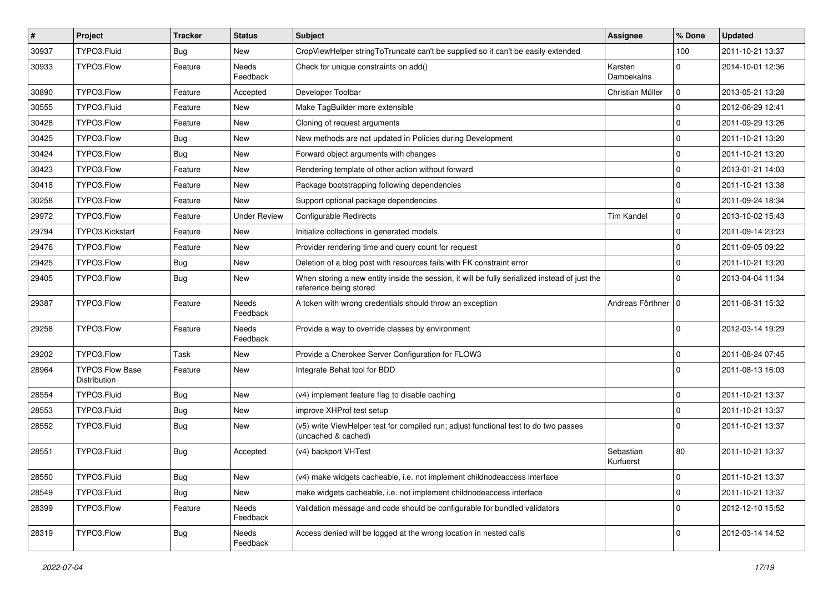| $\pmb{\#}$ | Project                         | <b>Tracker</b> | <b>Status</b>       | Subject                                                                                                                 | Assignee               | % Done      | <b>Updated</b>   |
|------------|---------------------------------|----------------|---------------------|-------------------------------------------------------------------------------------------------------------------------|------------------------|-------------|------------------|
| 30937      | TYPO3.Fluid                     | Bug            | New                 | CropViewHelper stringToTruncate can't be supplied so it can't be easily extended                                        |                        | 100         | 2011-10-21 13:37 |
| 30933      | TYPO3.Flow                      | Feature        | Needs<br>Feedback   | Check for unique constraints on add()                                                                                   | Karsten<br>Dambekalns  | $\Omega$    | 2014-10-01 12:36 |
| 30890      | TYPO3.Flow                      | Feature        | Accepted            | Developer Toolbar                                                                                                       | Christian Müller       | $\mathbf 0$ | 2013-05-21 13:28 |
| 30555      | TYPO3.Fluid                     | Feature        | New                 | Make TagBuilder more extensible                                                                                         |                        | $\mathbf 0$ | 2012-06-29 12:41 |
| 30428      | TYPO3.Flow                      | Feature        | New                 | Cloning of request arguments                                                                                            |                        | $\mathbf 0$ | 2011-09-29 13:26 |
| 30425      | TYPO3.Flow                      | Bug            | New                 | New methods are not updated in Policies during Development                                                              |                        | $\mathbf 0$ | 2011-10-21 13:20 |
| 30424      | TYPO3.Flow                      | Bug            | New                 | Forward object arguments with changes                                                                                   |                        | $\mathbf 0$ | 2011-10-21 13:20 |
| 30423      | TYPO3.Flow                      | Feature        | New                 | Rendering template of other action without forward                                                                      |                        | $\mathbf 0$ | 2013-01-21 14:03 |
| 30418      | TYPO3.Flow                      | Feature        | New                 | Package bootstrapping following dependencies                                                                            |                        | $\mathbf 0$ | 2011-10-21 13:38 |
| 30258      | TYPO3.Flow                      | Feature        | New                 | Support optional package dependencies                                                                                   |                        | $\mathbf 0$ | 2011-09-24 18:34 |
| 29972      | TYPO3.Flow                      | Feature        | <b>Under Review</b> | Configurable Redirects                                                                                                  | <b>Tim Kandel</b>      | $\mathbf 0$ | 2013-10-02 15:43 |
| 29794      | TYPO3.Kickstart                 | Feature        | New                 | Initialize collections in generated models                                                                              |                        | $\mathbf 0$ | 2011-09-14 23:23 |
| 29476      | TYPO3.Flow                      | Feature        | New                 | Provider rendering time and query count for request                                                                     |                        | $\mathbf 0$ | 2011-09-05 09:22 |
| 29425      | TYPO3.Flow                      | <b>Bug</b>     | New                 | Deletion of a blog post with resources fails with FK constraint error                                                   |                        | $\Omega$    | 2011-10-21 13:20 |
| 29405      | TYPO3.Flow                      | Bug            | New                 | When storing a new entity inside the session, it will be fully serialized instead of just the<br>reference being stored |                        | $\Omega$    | 2013-04-04 11:34 |
| 29387      | TYPO3.Flow                      | Feature        | Needs<br>Feedback   | A token with wrong credentials should throw an exception                                                                | Andreas Förthner   0   |             | 2011-08-31 15:32 |
| 29258      | TYPO3.Flow                      | Feature        | Needs<br>Feedback   | Provide a way to override classes by environment                                                                        |                        | $\Omega$    | 2012-03-14 19:29 |
| 29202      | TYPO3.Flow                      | Task           | New                 | Provide a Cherokee Server Configuration for FLOW3                                                                       |                        | $\mathbf 0$ | 2011-08-24 07:45 |
| 28964      | TYPO3 Flow Base<br>Distribution | Feature        | New                 | Integrate Behat tool for BDD                                                                                            |                        | $\Omega$    | 2011-08-13 16:03 |
| 28554      | TYPO3.Fluid                     | Bug            | New                 | (v4) implement feature flag to disable caching                                                                          |                        | $\mathbf 0$ | 2011-10-21 13:37 |
| 28553      | TYPO3.Fluid                     | <b>Bug</b>     | New                 | improve XHProf test setup                                                                                               |                        | $\mathbf 0$ | 2011-10-21 13:37 |
| 28552      | TYPO3.Fluid                     | Bug            | New                 | (v5) write ViewHelper test for compiled run; adjust functional test to do two passes<br>(uncached & cached)             |                        | $\Omega$    | 2011-10-21 13:37 |
| 28551      | TYPO3.Fluid                     | <b>Bug</b>     | Accepted            | (v4) backport VHTest                                                                                                    | Sebastian<br>Kurfuerst | 80          | 2011-10-21 13:37 |
| 28550      | TYPO3.Fluid                     | Bug            | New                 | (v4) make widgets cacheable, i.e. not implement childnodeaccess interface                                               |                        | 0           | 2011-10-21 13:37 |
| 28549      | TYPO3.Fluid                     | <b>Bug</b>     | New                 | make widgets cacheable, i.e. not implement childnodeaccess interface                                                    |                        | $\mathbf 0$ | 2011-10-21 13:37 |
| 28399      | TYPO3.Flow                      | Feature        | Needs<br>Feedback   | Validation message and code should be configurable for bundled validators                                               |                        | $\mathbf 0$ | 2012-12-10 15:52 |
| 28319      | TYPO3.Flow                      | <b>Bug</b>     | Needs<br>Feedback   | Access denied will be logged at the wrong location in nested calls                                                      |                        | 0           | 2012-03-14 14:52 |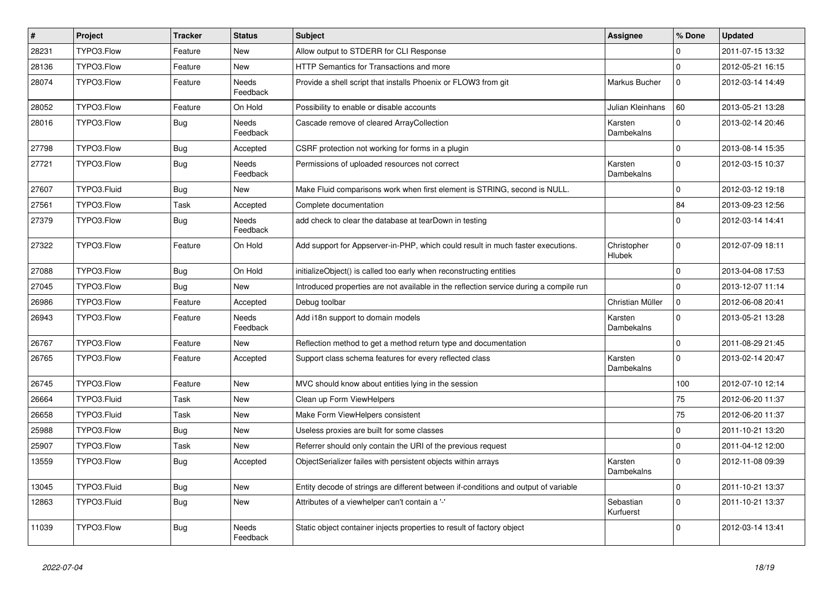| $\vert$ # | <b>Project</b> | <b>Tracker</b> | <b>Status</b>            | <b>Subject</b>                                                                         | Assignee                     | % Done       | <b>Updated</b>   |
|-----------|----------------|----------------|--------------------------|----------------------------------------------------------------------------------------|------------------------------|--------------|------------------|
| 28231     | TYPO3.Flow     | Feature        | <b>New</b>               | Allow output to STDERR for CLI Response                                                |                              | 0            | 2011-07-15 13:32 |
| 28136     | TYPO3.Flow     | Feature        | New                      | HTTP Semantics for Transactions and more                                               |                              | $\mathbf 0$  | 2012-05-21 16:15 |
| 28074     | TYPO3.Flow     | Feature        | Needs<br>Feedback        | Provide a shell script that installs Phoenix or FLOW3 from git                         | Markus Bucher                | $\mathbf 0$  | 2012-03-14 14:49 |
| 28052     | TYPO3.Flow     | Feature        | On Hold                  | Possibility to enable or disable accounts                                              | Julian Kleinhans             | 60           | 2013-05-21 13:28 |
| 28016     | TYPO3.Flow     | <b>Bug</b>     | Needs<br>Feedback        | Cascade remove of cleared ArrayCollection                                              | Karsten<br>Dambekalns        | $\Omega$     | 2013-02-14 20:46 |
| 27798     | TYPO3.Flow     | <b>Bug</b>     | Accepted                 | CSRF protection not working for forms in a plugin                                      |                              | $\Omega$     | 2013-08-14 15:35 |
| 27721     | TYPO3.Flow     | Bug            | <b>Needs</b><br>Feedback | Permissions of uploaded resources not correct                                          | Karsten<br>Dambekalns        | $\Omega$     | 2012-03-15 10:37 |
| 27607     | TYPO3.Fluid    | Bug            | New                      | Make Fluid comparisons work when first element is STRING, second is NULL.              |                              | $\mathbf 0$  | 2012-03-12 19:18 |
| 27561     | TYPO3.Flow     | Task           | Accepted                 | Complete documentation                                                                 |                              | 84           | 2013-09-23 12:56 |
| 27379     | TYPO3.Flow     | <b>Bug</b>     | Needs<br>Feedback        | add check to clear the database at tearDown in testing                                 |                              | $\Omega$     | 2012-03-14 14:41 |
| 27322     | TYPO3.Flow     | Feature        | On Hold                  | Add support for Appserver-in-PHP, which could result in much faster executions.        | Christopher<br><b>Hlubek</b> | $\Omega$     | 2012-07-09 18:11 |
| 27088     | TYPO3.Flow     | <b>Bug</b>     | On Hold                  | initializeObject() is called too early when reconstructing entities                    |                              | $\mathbf 0$  | 2013-04-08 17:53 |
| 27045     | TYPO3.Flow     | <b>Bug</b>     | <b>New</b>               | Introduced properties are not available in the reflection service during a compile run |                              | $\Omega$     | 2013-12-07 11:14 |
| 26986     | TYPO3.Flow     | Feature        | Accepted                 | Debug toolbar                                                                          | Christian Müller             | $\mathbf 0$  | 2012-06-08 20:41 |
| 26943     | TYPO3.Flow     | Feature        | Needs<br>Feedback        | Add i18n support to domain models                                                      | Karsten<br>Dambekalns        | $\mathbf 0$  | 2013-05-21 13:28 |
| 26767     | TYPO3.Flow     | Feature        | New                      | Reflection method to get a method return type and documentation                        |                              | $\mathbf 0$  | 2011-08-29 21:45 |
| 26765     | TYPO3.Flow     | Feature        | Accepted                 | Support class schema features for every reflected class                                | Karsten<br>Dambekalns        | $\mathbf{0}$ | 2013-02-14 20:47 |
| 26745     | TYPO3.Flow     | Feature        | <b>New</b>               | MVC should know about entities lying in the session                                    |                              | 100          | 2012-07-10 12:14 |
| 26664     | TYPO3.Fluid    | Task           | <b>New</b>               | Clean up Form ViewHelpers                                                              |                              | 75           | 2012-06-20 11:37 |
| 26658     | TYPO3.Fluid    | Task           | <b>New</b>               | Make Form ViewHelpers consistent                                                       |                              | 75           | 2012-06-20 11:37 |
| 25988     | TYPO3.Flow     | <b>Bug</b>     | <b>New</b>               | Useless proxies are built for some classes                                             |                              | $\mathbf 0$  | 2011-10-21 13:20 |
| 25907     | TYPO3.Flow     | Task           | <b>New</b>               | Referrer should only contain the URI of the previous request                           |                              | $\mathbf{0}$ | 2011-04-12 12:00 |
| 13559     | TYPO3.Flow     | <b>Bug</b>     | Accepted                 | ObjectSerializer failes with persistent objects within arrays                          | Karsten<br>Dambekalns        | $\Omega$     | 2012-11-08 09:39 |
| 13045     | TYPO3.Fluid    | Bug            | New                      | Entity decode of strings are different between if-conditions and output of variable    |                              | $\mathbf 0$  | 2011-10-21 13:37 |
| 12863     | TYPO3.Fluid    | <b>Bug</b>     | <b>New</b>               | Attributes of a viewhelper can't contain a '-'                                         | Sebastian<br>Kurfuerst       | $\Omega$     | 2011-10-21 13:37 |
| 11039     | TYPO3.Flow     | <b>Bug</b>     | Needs<br>Feedback        | Static object container injects properties to result of factory object                 |                              | $\Omega$     | 2012-03-14 13:41 |